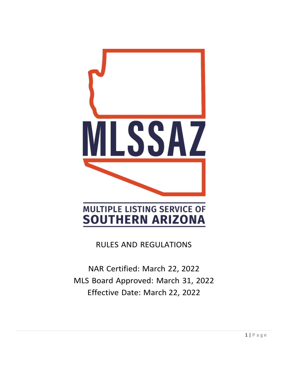

RULES AND REGULATIONS

NAR Certified: March 22, 2022 MLS Board Approved: March 31, 2022 Effective Date: March 22, 2022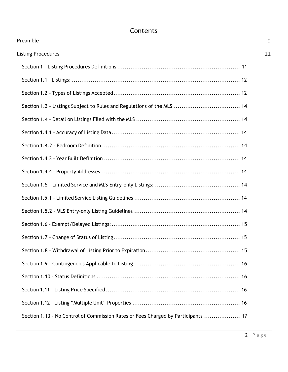# Contents

| Preamble                                                                          | 9  |
|-----------------------------------------------------------------------------------|----|
| <b>Listing Procedures</b>                                                         | 11 |
|                                                                                   |    |
|                                                                                   |    |
|                                                                                   |    |
| Section 1.3 - Listings Subject to Rules and Regulations of the MLS  14            |    |
|                                                                                   |    |
|                                                                                   |    |
|                                                                                   |    |
|                                                                                   |    |
|                                                                                   |    |
|                                                                                   |    |
|                                                                                   |    |
|                                                                                   |    |
|                                                                                   |    |
|                                                                                   |    |
|                                                                                   |    |
|                                                                                   |    |
|                                                                                   |    |
|                                                                                   |    |
|                                                                                   |    |
| Section 1.13 - No Control of Commission Rates or Fees Charged by Participants  17 |    |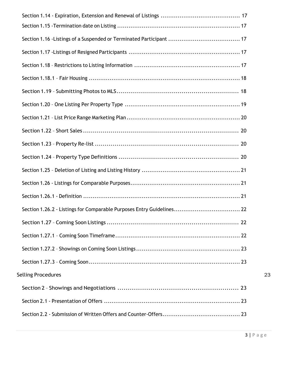| Section 1.26.2 - Listings for Comparable Purposes Entry Guidelines 22 |    |
|-----------------------------------------------------------------------|----|
|                                                                       |    |
|                                                                       |    |
|                                                                       |    |
|                                                                       |    |
| <b>Selling Procedures</b>                                             | 23 |
|                                                                       |    |
|                                                                       |    |
|                                                                       |    |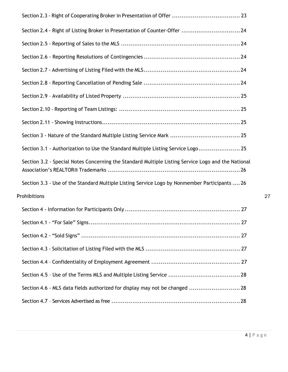| Section 2.4 - Right of Listing Broker in Presentation of Counter-Offer  24                         |    |
|----------------------------------------------------------------------------------------------------|----|
|                                                                                                    |    |
|                                                                                                    |    |
|                                                                                                    |    |
|                                                                                                    |    |
|                                                                                                    |    |
|                                                                                                    |    |
|                                                                                                    |    |
|                                                                                                    |    |
| Section 3.1 - Authorization to Use the Standard Multiple Listing Service Logo 25                   |    |
| Section 3.2 - Special Notes Concerning the Standard Multiple Listing Service Logo and the National |    |
| Section 3.3 - Use of the Standard Multiple Listing Service Logo by Nonmember Participants  26      |    |
| Prohibitions                                                                                       | 27 |
|                                                                                                    |    |
|                                                                                                    |    |
|                                                                                                    |    |
|                                                                                                    |    |
|                                                                                                    |    |
|                                                                                                    |    |
| Section 4.6 - MLS data fields authorized for display may not be changed  28                        |    |
|                                                                                                    |    |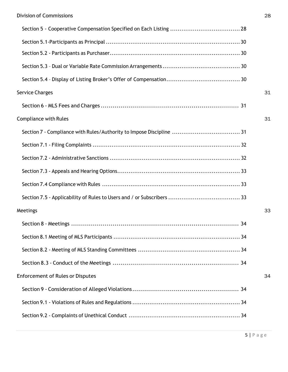| <b>Service Charges</b>                  | 31 |
|-----------------------------------------|----|
|                                         |    |
| <b>Compliance with Rules</b>            | 31 |
|                                         |    |
|                                         |    |
|                                         |    |
|                                         |    |
|                                         |    |
|                                         |    |
| Meetings                                | 33 |
|                                         |    |
|                                         |    |
|                                         |    |
|                                         |    |
| <b>Enforcement of Rules or Disputes</b> | 34 |
|                                         |    |
|                                         |    |
|                                         |    |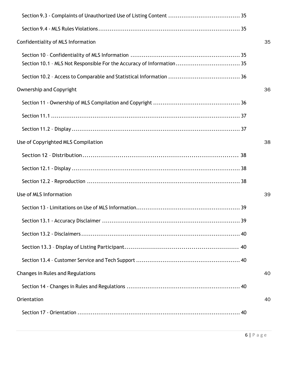| Confidentiality of MLS Information      | 35 |
|-----------------------------------------|----|
|                                         |    |
|                                         |    |
| <b>Ownership and Copyright</b>          | 36 |
|                                         |    |
|                                         |    |
|                                         |    |
| Use of Copyrighted MLS Compilation      | 38 |
|                                         |    |
|                                         |    |
|                                         |    |
| Use of MLS Information                  | 39 |
|                                         |    |
| 39                                      |    |
|                                         |    |
|                                         |    |
|                                         |    |
| <b>Changes in Rules and Regulations</b> | 40 |
|                                         |    |
| Orientation                             | 40 |
|                                         |    |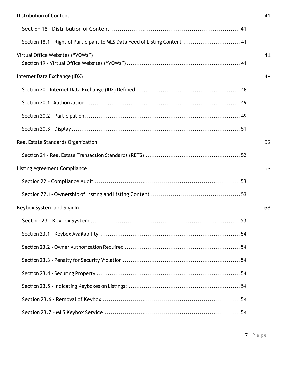| Section 18.1 - Right of Participant to MLS Data Feed of Listing Content  41 |    |
|-----------------------------------------------------------------------------|----|
| Virtual Office Websites ("VOWs")                                            | 41 |
| Internet Data Exchange (IDX)                                                | 48 |
|                                                                             |    |
|                                                                             |    |
|                                                                             |    |
|                                                                             |    |
| Real Estate Standards Organization                                          | 52 |
|                                                                             |    |
| <b>Listing Agreement Compliance</b>                                         | 53 |
|                                                                             |    |
|                                                                             |    |
| Keybox System and Sign In                                                   | 53 |
|                                                                             |    |
|                                                                             | 54 |
|                                                                             |    |
|                                                                             |    |
|                                                                             |    |
|                                                                             |    |
|                                                                             |    |
|                                                                             |    |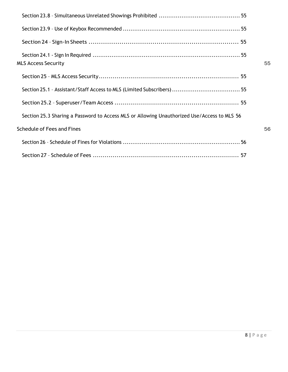| MLS Access Security                                                                         | 55 |
|---------------------------------------------------------------------------------------------|----|
|                                                                                             |    |
|                                                                                             |    |
|                                                                                             |    |
| Section 25.3 Sharing a Password to Access MLS or Allowing Unauthorized Use/Access to MLS 56 |    |
| <b>Schedule of Fees and Fines</b>                                                           | 56 |
|                                                                                             |    |
|                                                                                             |    |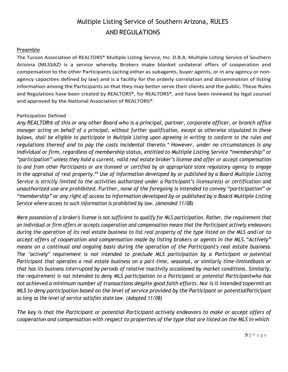# Multiple Listing Service of Southern Arizona, RULES AND REGULATIONS

### <span id="page-8-0"></span>Preamble

The Tucson Association of REALTORS® Multiple Listing Service, Inc. D.B.A. Multiple Listing Service of Southern Arizona (MLSSAZ) is a service whereby Brokers make blanket unilateral offers of cooperation and compensation to the other Participants (acting either as subagents, buyer agents, or in any agency or nonagency capacities defined by law) and is a facility for the orderly correlation and dissemination of listing information among the Participants so that they may better serve their clients and the public. These Rules and Regulations have been created by REALTORS®, for REALTORS®, and have been reviewed by legal counsel and approved by the National Association of REALTORS®.

### Participation Defined

Any REALTOR® of this or any other Board who is a principal, partner, corporate officer, or branch office *manager acting on behalf of a principal, without further qualification, except as otherwise stipulated in these bylaws, shall be eligible to participate in Multiple Listing upon agreeing in writing to conform to the rules and regulations thereof and to pay the costs incidental thereto.\* However, under no circumstances is any individual or firm, regardless of membership status, entitled to Multiple Listing Service "membership" or "participation" unless they hold a current, valid real estate broker's license and offer or accept compensation* to and from other Participants or are licensed or certified by an appropriate state regulatory agency to engage *in the appraisal of real property.\*\* Use of information developed by or published by a Board Multiple Listing Service is strictly limited to the activities authorized under a Participant's licensure(s) or certification and unauthorized use are prohibited. Further, none of the foregoing is intended to convey "participation" or "membership" or any right of access to information developed by or published by a Board Multiple Listing Service where access to such information is prohibited by law. (Amended 11/08)*

*Mere possession of a broker's license is not sufficient to qualify for MLS participation. Rather, the requirement that an individual or firm offers or accepts cooperation and compensation means that the Participant actively endeavors during the operation of its real estate business to list real property of the type listed on the MLS and/or to accept offers of cooperation and compensation made by listing brokers or agents in the MLS."Actively" means on a continual and ongoing basis during the operation of the Participant's real estate business. The ''actively" requirement is not intended to preclude MLS participation by a Participant or potential Participant that operates a real estate business on a part-time, seasonal, or similarly time-limitedbasis or that has its business interrupted by periods of relative inactivity occasioned by market conditions. Similarly, the requirement is not intended to deny MLS participation to a Participant or potential Participantwho has not achieved a minimum number of transactions despite good faith efforts. Nor is it intended topermit an MLS to deny participation based on the level of service provided by the Participant or potentialParticipant as long as the level of service satisfies state law. (Adopted 11/08)*

*The key is that the Participant or potential Participant actively endeavors to make or accept offers of* cooperation and compensation with respect to properties of the type that are listed on the MLS in which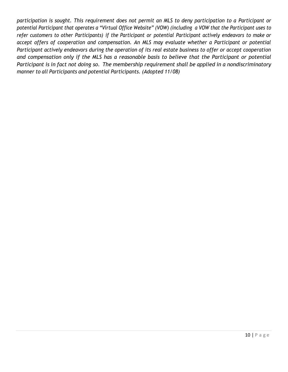*participation is sought. This requirement does not permit an MLS to deny participation to a Participant or potential Participant that operates a "Virtual Office Website" (VOW) (including a VOW that the Participant uses to* refer customers to other Participants) if the Participant or potential Participant actively endeavors to make or *accept offers of cooperation and compensation. An MLS may evaluate whether a Participant or potential Participant actively endeavors during the operation of its real estate business to offer or accept cooperation and compensation only if the MLS has a reasonable basis to believe that the Participant or potential Participant is in fact not doing so. The membership requirement shall be applied in a nondiscriminatory manner to all Participants and potential Participants. (Adopted 11/08)*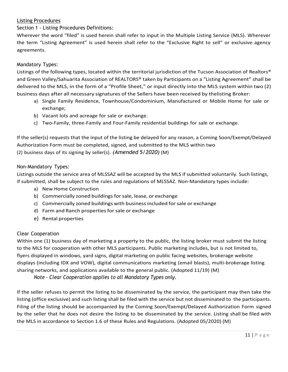### <span id="page-10-0"></span>Listing Procedures

Section 1 - Listing Procedures Definitions:

Wherever the word "filed" is used herein shall refer to input in the Multiple Listing Service (MLS). Wherever the term "Listing Agreement" is used herein shall refer to the "Exclusive Right to sell" or exclusive agency agreements.

# Mandatory Types:

Listings of the following types, located within the territorial jurisdiction of the Tucson Association of Realtors® and Green Valley/Sahuarita Association of REALTORS® taken by Participants on a "Listing Agreement" shall be delivered to the MLS, in the form of a "Profile Sheet," or input directly into the MLS system within two (2) business days after all necessary signatures of the Sellers have been received by thelisting Broker:

- a) Single Family Residence, Townhouse/Condominium, Manufactured or Mobile Home for sale or exchange;
- b) Vacant lots and acreage for sale or exchange.
- c) Two-Family, three-Family and Four-Family residential buildings for sale or exchange.

If the seller(s) requests that the input of the listing be delayed for any reason, a Coming Soon/Exempt/Delayed Authorization Form must be completed, signed, and submitted to the MLS within two (2) business days of its signing by seller(s). *(Amended 5/2020)* (M)

### Non-Mandatory Types:

Listings outside the service area of MLSSAZ will be accepted by the MLS if submitted voluntarily. Such listings, if submitted, shall be subject to the rules and regulations of MLSSAZ. Non-Mandatory types include:

- a) New Home Construction
- b) Commercially zoned buildings for sale, lease, or exchange
- c) Commercially zoned buildings with businessincluded forsale or exchange
- d) Farm and Ranch properties for sale or exchange
- e) Rental properties

# Clear Cooperation

Within one (1) business day of marketing a property to the public, the listing broker must submit the listing to the MLS for cooperation with other MLS participants. Public marketing includes, but is not limited to, flyers displayed in windows, yard signs, digital marketing on public facing websites, brokerage website displays (including IDX and VOW), digital communications marketing (email blasts), multi-brokerage listing sharing networks, and applications available to the general public. (Adopted 11/19) (M)

*Note – Clear Cooperation applies to all Mandatory Types only.*

If the seller refuses to permit the listing to be disseminated by the service, the participant may then take the listing (office exclusive) and such listing shall be filed with the service but not disseminated to the participants. Filing of the listing should be accompanied by the Coming Soon/Exempt/Delayed Authorization Form signed by the seller that he does not desire the listing to be disseminated by the service. Listing shall be filed with the MLS in accordance to Section 1.6 of these Rules and Regulations. (Adopted 05/2020) (M)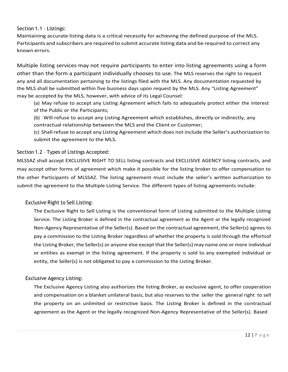### <span id="page-11-0"></span>Section 1.1 – Listings:

Maintaining accurate listing data is a critical necessity for achieving the defined purpose of the MLS. Participants and subscribers are required to submit accurate listing data and be required to correct any known errors.

Multiple listing services may not require participants to enter into listing agreements using a form other than the form a participant individually chooses to use. The MLS reserves the right to request any and all documentation pertaining to the listings filed with the MLS. Any documentation requested by the MLS shall be submitted within five business days upon request by the MLS. Any "Listing Agreement" may be accepted by the MLS, however, with advice of its Legal Counsel:

(a) May refuse to accept any Listing Agreement which fails to adequately protect either the interest of the Public or the Participants;

(b) Will refuse to accept any Listing Agreement which establishes, directly or indirectly, any contractual relationship between the MLS and the Client or Customer;

(c) Shallrefuse to accept any Listing Agreement which does not include the Seller's authorization to submit the agreement to the MLS.

### <span id="page-11-1"></span>Section 1.2 – Types of Listings Accepted:

MLSSAZ shall accept EXCLUSIVE RIGHT TO SELL listing contracts and EXCLUSIVE AGENCY listing contracts, and may accept other forms of agreement which make it possible for the listing broker to offer compensation to the other Participants of MLSSAZ. The listing agreement must include the seller's written authorization to submit the agreement to the Multiple Listing Service. The different types of listing agreements include:

# Exclusive Right to Sell Listing:

The Exclusive Right to Sell Listing is the conventional form of Listing submitted to the Multiple Listing Service. The Listing Broker is defined in the contractual agreement as the Agent or the legally recognized Non-Agency Representative of the Seller(s). Based on the contractual agreement, the Seller(s) agrees to pay a commission to the Listing Broker regardless of whether the property is sold through the effortsof the Listing Broker, the Seller(s) or anyone else except that the Seller(s) may name one or more individual or entities as exempt in the listing agreement. If the property is sold to any exempted individual or entity, the Seller(s) is not obligated to pay a commission to the Listing Broker.

### Exclusive Agency Listing:

The Exclusive Agency Listing also authorizes the listing Broker, as exclusive agent, to offer cooperation and compensation on a blanket unilateral basis, but also reserves to the seller the general right to sell the property on an unlimited or restrictive basis. The Listing Broker is defined in the contractual agreement as the Agent or the legally recognized Non-Agency Representative of the Seller(s). Based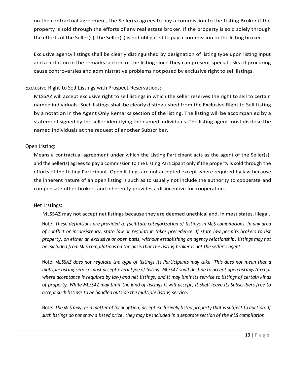on the contractual agreement, the Seller(s) agrees to pay a commission to the Listing Broker if the property is sold through the efforts of any real estate broker. If the property is sold solely through the efforts of the Seller(s), the Seller(s) is not obligated to pay a commission to the listing broker.

Exclusive agency listings shall be clearly distinguished by designation of listing type upon listing input and a notation in the remarks section of the listing since they can present special risks of procuring cause controversies and administrative problems not posed by exclusive right to sell listings.

### Exclusive Right to Sell Listings with Prospect Reservations:

MLSSAZ will accept exclusive right to sell listings in which the seller reserves the right to sell to certain named individuals. Such listings shall be clearly distinguished from the Exclusive Right to Sell Listing by a notation in the Agent Only Remarks section of the listing. The listing will be accompanied by a statement signed by the seller identifying the named individuals. The listing agent must disclose the named individuals at the request of another Subscriber.

### Open Listing:

Means a contractual agreement under which the Listing Participant acts as the agent of the Seller(s), and the Seller(s) agrees to pay a commission to the Listing Participant only if the property is sold through the efforts of the Listing Participant. Open listings are not accepted except where required by law because the inherent nature of an open listing is such as to usually not include the authority to cooperate and compensate other brokers and inherently provides a disincentive for cooperation.

### Net Listings:

MLSSAZ may not accept net listings because they are deemed unethical and, in most states, illegal.

Note: *These definitions are provided to facilitate categorization of listings in MLS compilations. In any area of conflict or inconsistency, state law or regulation takes precedence. If state law permits brokers to list property, on either an exclusive or open basis, without establishing an agency relationship, listings may not be excluded from MLS compilations on the basis that the listing broker is not the seller's agent.*

Note: *MLSSAZ does not regulate the type of listings its Participants may take. This does not mean that a* multiple listing service must accept every type of listing. MLSSAZ shall decline to accept open listings (except where acceptance is required by law) and net listings, and it may limit its service to listings of certain kinds *of property. While MLSSAZ may limit the kind of listings it will accept, it shall leave its Subscribers free to accept such listings to be handled outside the multiple listing service.*

Note: The MLS may, as a matter of local option, accept exclusively listed property that is subject to auction. If such listings do not show a listed price, they may be included in a separate section of the MLS compilation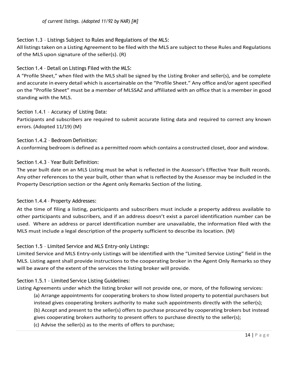<span id="page-13-0"></span>Section 1.3 – Listings Subject to Rules and Regulations of the MLS:

All listingstaken on a Listing Agreement to be filed with the MLS are subject to these Rules and Regulations of the MLS upon signature of the seller(s). (R)

<span id="page-13-1"></span>Section 1.4 – Detail on Listings Filed with the MLS:

A "Profile Sheet," when filed with the MLS shall be signed by the Listing Broker and seller(s), and be complete and accurate in every detail which is ascertainable on the "Profile Sheet." Any office and/or agent specified on the "Profile Sheet" must be a member of MLSSAZ and affiliated with an office that is a member in good standing with the MLS.

<span id="page-13-2"></span>Section 1.4.1 – Accuracy of Listing Data:

Participants and subscribers are required to submit accurate listing data and required to correct any known errors. (Adopted 11/19) (M)

<span id="page-13-3"></span>Section 1.4.2 – Bedroom Definition: A conforming bedroom is defined as a permitted room which contains a constructed closet, door and window.

<span id="page-13-4"></span>Section 1.4.3 – Year Built Definition:

The year built date on an MLS Listing must be what is reflected in the Assessor's Effective Year Built records. Any other references to the year built, other than what is reflected by the Assessor may be included in the Property Description section or the Agent only Remarks Section of the listing.

Section 1.4.4 – Property Addresses:

At the time of filing a listing, participants and subscribers must include a property address available to other participants and subscribers, and if an address doesn't exist a parcel identification number can be used. Where an address or parcel identification number are unavailable, the information filed with the MLS must include a legal description of the property sufficient to describe its location. (M)

<span id="page-13-5"></span>Section 1.5 – Limited Service and MLS Entry-only Listings:

Limited Service and MLS Entry-only Listings will be identified with the "Limited Service Listing" field in the MLS. Listing agent shall provide instructions to the cooperating broker in the Agent Only Remarks so they will be aware of the extent of the services the listing broker will provide.

# <span id="page-13-6"></span>Section 1.5.1 – Limited Service Listing Guidelines:

Listing Agreements under which the listing broker will not provide one, or more, of the following services:

(a) Arrange appointments for cooperating brokers to show listed property to potential purchasers but instead gives cooperating brokers authority to make such appointments directly with the seller(s); (b) Accept and present to the seller(s) offers to purchase procured by cooperating brokers but instead gives cooperating brokers authority to present offers to purchase directly to the seller(s);

(c) Advise the seller(s) as to the merits of offers to purchase;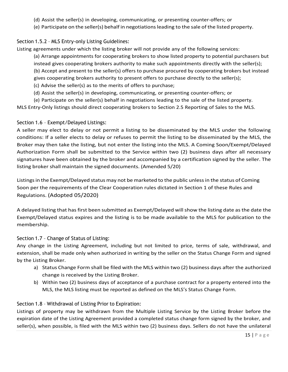- (d) Assist the seller(s) in developing, communicating, or presenting counter-offers; or
- (e) Participate on the seller(s) behalf in negotiationsleading to the sale of the listed property.

# <span id="page-14-0"></span>Section 1.5.2 – MLS Entry-only Listing Guidelines:

Listing agreements under which the listing broker will not provide any of the following services:

(a) Arrange appointments for cooperating brokers to show listed property to potential purchasers but instead gives cooperating brokers authority to make such appointments directly with the seller(s); (b) Accept and present to the seller(s) offers to purchase procured by cooperating brokers but instead

gives cooperating brokers authority to present offers to purchase directly to the seller(s);

- (c) Advise the seller(s) as to the merits of offers to purchase;
- (d) Assist the seller(s) in developing, communicating, or presenting counter-offers; or

(e) Participate on the seller(s) behalf in negotiations leading to the sale of the listed property.

MLS Entry-Only listings should direct cooperating brokers to Section 2.5 Reporting of Sales to the MLS.

# <span id="page-14-1"></span>Section 1.6 – Exempt/Delayed Listings:

A seller may elect to delay or not permit a listing to be disseminated by the MLS under the following conditions: If a seller elects to delay or refuses to permit the listing to be disseminated by the MLS, the Broker may then take the listing, but not enter the listing into the MLS. A Coming Soon/Exempt/Delayed Authorization Form shall be submitted to the Service within two (2) business days after all necessary signatures have been obtained by the broker and accompanied by a certification signed by the seller. The listing broker shall maintain the signed documents. (Amended 5/20)

Listings in the Exempt/Delayed status may not be marketed to the public unless in the status of Coming Soon per the requirements of the Clear Cooperation rules dictated in Section 1 of these Rules and Regulations. (Adopted 05/2020)

A delayed listing that hasfirst been submitted as Exempt/Delayed willshow the listing date asthe date the Exempt/Delayed status expires and the listing is to be made available to the MLS for publication to the membership.

# <span id="page-14-2"></span>Section 1.7 – Change of Status of Listing:

Any change in the Listing Agreement, including but not limited to price, terms of sale, withdrawal, and extension, shall be made only when authorized in writing by the seller on the Status Change Form and signed by the Listing Broker.

- a) Status Change Form shall be filed with the MLS within two (2) business days after the authorized change is received by the Listing Broker.
- b) Within two (2) business days of acceptance of a purchase contract for a property entered into the MLS, the MLS listing must be reported as defined on the MLS's Status Change Form.

# <span id="page-14-3"></span>Section 1.8 – Withdrawal of Listing Prior to Expiration:

Listings of property may be withdrawn from the Multiple Listing Service by the Listing Broker before the expiration date of the Listing Agreement provided a completed status change form signed by the broker, and seller(s), when possible, is filed with the MLS within two (2) business days. Sellers do not have the unilateral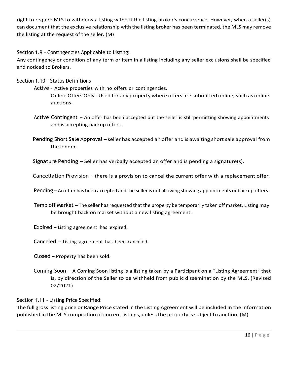right to require MLS to withdraw a listing without the listing broker's concurrence. However, when a seller(s) can document that the exclusive relationship with the listing broker has been terminated, the MLS may remove the listing at the request of the seller. (M)

<span id="page-15-0"></span>Section 1.9 – Contingencies Applicable to Listing:

Any contingency or condition of any term or item in a listing including any seller exclusions shall be specified and noticed to Brokers.

<span id="page-15-1"></span>Section 1.10 – Status Definitions

Active – Active properties with no offers or contingencies.

Online Offers Only - Used for any property where offers are submitted online, such as online auctions.

Active Contingent – An offer has been accepted but the seller is still permitting showing appointments and is accepting backup offers.

Pending Short Sale Approval – seller has accepted an offer and is awaiting short sale approval from the lender.

Signature Pending – Seller has verbally accepted an offer and is pending a signature(s).

Cancellation Provision – there is a provision to cancel the current offer with a replacement offer.

Pending – An offer has been accepted and the seller is not allowing showing appointments or backup offers.

Temp off Market – The seller has requested that the property be temporarily taken off market. Listing may be brought back on market without a new listing agreement.

Expired – Listing agreement has expired.

Canceled – Listing agreement has been canceled.

Closed – Property has been sold.

Coming Soon – A Coming Soon listing is a listing taken by a Participant on a "Listing Agreement" that is, by direction of the Seller to be withheld from public dissemination by the MLS. (Revised 02/2021)

<span id="page-15-2"></span>Section 1.11 – Listing Price Specified:

<span id="page-15-3"></span>The full grosslisting price or Range Price stated in the Listing Agreement will be included in the information published in the MLS compilation of current listings, unless the property is subject to auction. (M)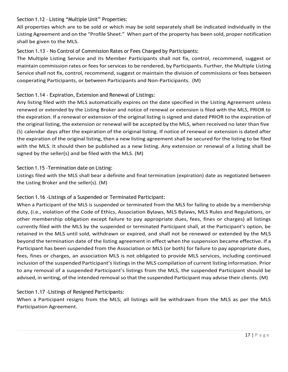### Section 1.12 – Listing "Multiple Unit" Properties:

All properties which are to be sold or which may be sold separately shall be indicated individually in the Listing Agreement and on the "Profile Sheet." When part of the property has been sold, proper notification shall be given to the MLS.

# <span id="page-16-0"></span>Section 1.13 - No Control of Commission Rates or Fees Charged by Participants:

The Multiple Listing Service and its Member Participants shall not fix, control, recommend, suggest or maintain commission rates or fees for services to be rendered, by Participants. Further, the Multiple Listing Service shall not fix, control, recommend, suggest or maintain the division of commissions or fees between cooperating Participants, or between Participants and Non-Participants. (M)

# <span id="page-16-1"></span>Section 1.14 - Expiration, Extension and Renewal of Listings:

Any listing filed with the MLS automatically expires on the date specified in the Listing Agreement unless renewed or extended by the Listing Broker and notice of renewal or extension is filed with the MLS, PRIOR to the expiration. If a renewal or extension of the original listing issigned and dated PRIOR to the expiration of the original listing, the extension or renewal will be accepted by the MLS, when received no later than five (5) calendar days after the expiration of the original listing. If notice of renewal or extension is dated after the expiration of the original listing, then a new listing agreement shall be secured for the listing to be filed with the MLS. It should then be published as a new listing. Any extension or renewal of a listing shall be signed by the seller(s) and be filed with the MLS. (M)

### <span id="page-16-2"></span>Section 1.15 -Termination date on Listing:

Listings filed with the MLS shall bear a definite and final termination (expiration) date as negotiated between the Listing Broker and the seller(s). (M)

# <span id="page-16-3"></span>Section 1.16 -Listings of a Suspended or Terminated Participant:

When a Participant of the MLS is suspended or terminated from the MLS for failing to abide by a membership duty, (i.e., violation of the Code of Ethics, Association Bylaws, MLS Bylaws, MLS Rules and Regulations, or other membership obligation except failure to pay appropriate dues, fees, fines or charges) all listings currently filed with the MLS by the suspended or terminated Participant shall, at the Participant's option, be retained in the MLS until sold, withdrawn or expired, and shall not be renewed or extended by the MLS beyond the termination date of the listing agreement in effect when the suspension became effective. If a Participant has been suspended from the Association or MLS (or both) for failure to pay appropriate dues, fees, fines or charges, an association MLS is not obligated to provide MLS services, including continued inclusion of the suspended Participant's listings in the MLS compilation of current listing information. Prior to any removal of a suspended Participant's listings from the MLS, the suspended Participant should be advised, in writing, of the intended removal so that the suspended Participant may advise their clients. (M)

# <span id="page-16-4"></span>Section 1.17 -Listings of Resigned Participants:

<span id="page-16-5"></span>When a Participant resigns from the MLS; all listings will be withdrawn from the MLS as per the MLS Participation Agreement.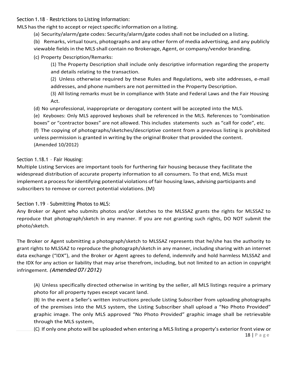Section 1.18 – Restrictions to Listing Information:

MLS has the right to accept or reject specific information on a listing.

- (a) Security/alarm/gate codes: Security/alarm/gate codesshall not be included on a listing.
- (b) Remarks, virtual tours, photographs and any other form of media advertising, and any publicly viewable fields in the MLS shall contain no Brokerage, Agent, or company/vendor branding.
- (c) Property Description/Remarks:
	- (1) The Property Description shall include only descriptive information regarding the property and details relating to the transaction.
	- (2) Unless otherwise required by these Rules and Regulations, web site addresses, e-mail addresses, and phone numbers are not permitted in the Property Description.
	- (3) All listing remarks must be in compliance with State and Federal Laws and the Fair Housing Act.
- (d) No unprofessional, inappropriate or derogatory content will be accepted into the MLS.
- (e) Keyboxes: Only MLS approved keyboxes shall be referenced in the MLS. References to "combination boxes" or "contractor boxes" are not allowed. This includes statements such as "call for code", etc. (f) The copying of photographs/sketches/descriptive content from a previous listing is prohibited unless permission is granted in writing by the original Broker that provided the content. (Amended 10/2012)

# <span id="page-17-0"></span>Section 1.18.1 – Fair Housing:

Multiple Listing Services are important tools for furthering fair housing because they facilitate the widespread distribution of accurate property information to all consumers. To that end, MLSs must implement a process for identifying potential violations of fair housing laws, advising participants and subscribers to remove or correct potential violations. (M)

<span id="page-17-1"></span>Section 1.19 – Submitting Photos to MLS:

Any Broker or Agent who submits photos and/or sketches to the MLSSAZ grants the rights for MLSSAZ to reproduce that photograph/sketch in any manner. If you are not granting such rights, DO NOT submit the photo/sketch.

The Broker or Agent submitting a photograph/sketch to MLSSAZ represents that he/she has the authority to grant rights to MLSSAZ to reproduce the photograph/sketch in any manner, including sharing with an internet data exchange ("IDX"), and the Broker or Agent agrees to defend, indemnify and hold harmless MLSSAZ and the IDX for any action or liability that may arise therefrom, including, but not limited to an action in copyright infringement. *(Amended 07/2012)*

(A) Unless specifically directed otherwise in writing by the seller, all MLS listings require a primary photo for all property types except vacant land.

(B) In the event a Seller's written instructions preclude Listing Subscriber from uploading photographs of the premises into the MLS system, the Listing Subscriber shall upload a "No Photo Provided" graphic image. The only MLS approved "No Photo Provided" graphic image shall be retrievable through the MLS system,

(C) If only one photo will be uploaded when entering a MLS listing a property's exterior front view or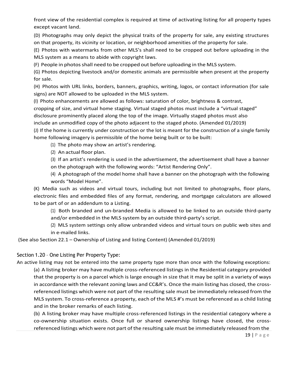front view of the residential complex is required at time of activating listing for all property types except vacant land.

(D) Photographs may only depict the physical traits of the property for sale, any existing structures on that property, its vicinity or location, or neighborhood amenities of the property for sale.

(E) Photos with watermarks from other MLS's shall need to be cropped out before uploading in the MLS system as a means to abide with copyright laws.

(F) People in photosshall need to be cropped out before uploading in the MLS system.

(G) Photos depicting livestock and/or domestic animals are permissible when present at the property for sale.

(H) Photos with URL links, borders, banners, graphics, writing, logos, or contact information (for sale signs) are NOT allowed to be uploaded in the MLS system.

(I) Photo enhancements are allowed as follows: saturation of color, brightness & contrast, cropping of size, and virtual home staging. Virtual staged photos must include a "virtual staged" disclosure prominently placed along the top of the image. Virtually staged photos must also

include an unmodified copy of the photo adjacent to the staged photo. (Amended 01/2019)

(J) If the home is currently under construction or the lot is meant for the construction of a single family home following imagery is permissible of the home being built or to be built:

(1) The photo may show an artist's rendering.

(2) An actual floor plan.

(3) If an artist's rendering is used in the advertisement, the advertisement shall have a banner on the photograph with the following words: "Artist Rendering Only".

(4) A photograph of the model home shall have a banner on the photograph with the following words "Model Home".

(K) Media such as videos and virtual tours, including but not limited to photographs, floor plans, electronic files and embedded files of any format, rendering, and mortgage calculators are allowed to be part of or an addendum to a Listing.

(1) Both branded and un-branded Media is allowed to be linked to an outside third-party and/or embedded in the MLS system by an outside third-party's script.

(2) MLS system settings only allow unbranded videos and virtual tours on public web sites and in e-mailed links.

(See also Section 22.1 – Ownership of Listing and listing Content) (Amended 01/2019)

### <span id="page-18-0"></span>Section 1.20 – One Listing Per Property Type:

An active listing may not be entered into the same property type more than once with the following exceptions: (a) A listing broker may have multiple cross-referenced listings in the Residential category provided that the property is on a parcel which is large enough in size that it may be split in a variety of ways in accordance with the relevant zoning laws and CC&R's. Once the main listing has closed, the crossreferenced listings which were not part of the resulting sale must be immediately released from the MLS system. To cross-reference a property, each of the MLS #'s must be referenced as a child listing and in the broker remarks of each listing.

(b) A listing broker may have multiple cross-referenced listings in the residential category where a co-ownership situation exists. Once full or shared ownership listings have closed, the crossreferenced listings which were not part of the resulting sale must be immediately released from the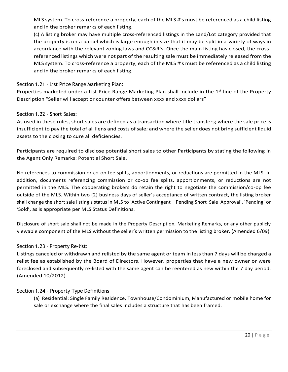MLS system. To cross-reference a property, each of the MLS #'s must be referenced as a child listing and in the broker remarks of each listing.

(c) A listing broker may have multiple cross-referenced listings in the Land/Lot category provided that the property is on a parcel which is large enough in size that it may be split in a variety of ways in accordance with the relevant zoning laws and CC&R's. Once the main listing has closed, the crossreferenced listings which were not part of the resulting sale must be immediately released from the MLS system. To cross-reference a property, each of the MLS #'s must be referenced as a child listing and in the broker remarks of each listing.

### <span id="page-19-0"></span>Section 1.21 – List Price Range Marketing Plan:

Properties marketed under a List Price Range Marketing Plan shall include in the 1<sup>st</sup> line of the Property Description "Seller will accept or counter offers between xxxx and xxxx dollars"

### <span id="page-19-1"></span>Section 1.22 – Short Sales:

As used in these rules, short sales are defined as a transaction where title transfers; where the sale price is insufficient to pay the total of all liens and costs ofsale; and where the seller does not bring sufficient liquid assets to the closing to cure all deficiencies.

Participants are required to disclose potential short sales to other Participants by stating the following in the Agent Only Remarks: Potential Short Sale.

No references to commission or co-op fee splits, apportionments, or reductions are permitted in the MLS. In addition, documents referencing commission or co-op fee splits, apportionments, or reductions are not permitted in the MLS. The cooperating brokers do retain the right to negotiate the commission/co-op fee outside of the MLS. Within two (2) business days of seller's acceptance of written contract, the listing broker shall change the short sale listing's status in MLS to 'Active Contingent – Pending Short Sale Approval', 'Pending' or 'Sold', as is appropriate per MLS Status Definitions.

Disclosure of short sale shall not be made in the Property Description, Marketing Remarks, or any other publicly viewable component of the MLS without the seller's written permission to the listing broker. (Amended 6/09)

### <span id="page-19-2"></span>Section 1.23 – Property Re-list:

Listings canceled or withdrawn and relisted by the same agent or team in less than 7 days will be charged a relist fee as established by the Board of Directors. However, properties that have a new owner or were foreclosed and subsequently re-listed with the same agent can be reentered as new within the 7 day period. (Amended 10/2012)

### <span id="page-19-3"></span>Section 1.24 – Property Type Definitions

(a) Residential: Single Family Residence, Townhouse/Condominium, Manufactured or mobile home for sale or exchange where the final sales includes a structure that has been framed.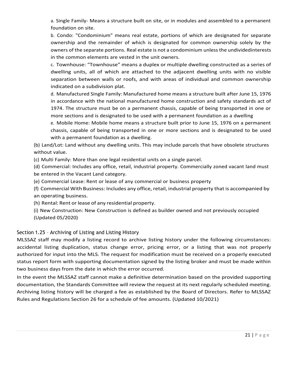a. Single Family- Means a structure built on site, or in modules and assembled to a permanent foundation on site.

b. Condo: "Condominium" means real estate, portions of which are designated for separate ownership and the remainder of which is designated for common ownership solely by the owners of the separate portions. Real estate is not a condominium unless the undividedinterests in the common elements are vested in the unit owners.

c. Townhouse: "Townhouse" means a duplex or multiple dwelling constructed as a series of dwelling units, all of which are attached to the adjacent dwelling units with no visible separation between walls or roofs, and with areas of individual and common ownership indicated on a subdivision plat.

d. Manufactured Single Family: Manufactured home means a structure built after June 15, 1976 in accordance with the national manufactured home construction and safety standards act of 1974. The structure must be on a permanent chassis, capable of being transported in one or more sections and is designated to be used with a permanent foundation as a dwelling

e. Mobile Home: Mobile home means a structure built prior to June 15, 1976 on a permanent chassis, capable of being transported in one or more sections and is designated to be used with a permanent foundation as a dwelling.

(b) Land/Lot: Land without any dwelling units. This may include parcels that have obsolete structures without value.

(c) Multi Family: More than one legal residential units on a single parcel.

(d) Commercial: Includes any office, retail, industrial property. Commercially zoned vacant land must be entered in the Vacant Land category.

(e) Commercial Lease: Rent or lease of any commercial or business property

(f) Commercial With Business: Includes any office, retail, industrial property that is accompanied by an operating business.

(h) Rental: Rent or lease of any residential property.

(i) New Construction: New Construction is defined as builder owned and not previously occupied (Updated 05/2020)

# <span id="page-20-0"></span>Section 1.25 – Archiving of Listing and Listing History

MLSSAZ staff may modify a listing record to archive listing history under the following circumstances: accidental listing duplication, status change error, pricing error, or a listing that was not properly authorized for input into the MLS. The request for modification must be received on a properly executed status report form with supporting documentation signed by the listing broker and must be made within two business days from the date in which the error occurred.

In the event the MLSSAZ staff cannot make a definitive determination based on the provided supporting documentation, the Standards Committee will review the request at its next regularly scheduled meeting. Archiving listing history will be charged a fee as established by the Board of Directors. Refer to MLSSAZ Rules and Regulations Section 26 for a schedule of fee amounts. (Updated 10/2021)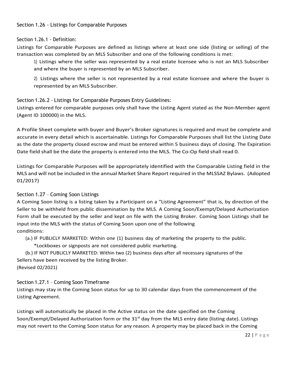# <span id="page-21-0"></span>Section 1.26.1 - Definition:

Listings for Comparable Purposes are defined as listings where at least one side (listing or selling) of the transaction was completed by an MLS Subscriber and one of the following conditions is met:

1) Listings where the seller was represented by a real estate licensee who is not an MLS Subscriber and where the buyer is represented by an MLS Subscriber.

2) Listings where the seller is not represented by a real estate licensee and where the buyer is represented by an MLS Subscriber.

# <span id="page-21-1"></span>Section 1.26.2 - Listings for Comparable Purposes Entry Guidelines:

Listings entered for comparable purposes only shall have the Listing Agent stated as the Non-Member agent (Agent ID 100000) in the MLS.

A Profile Sheet complete with buyer and Buyer's Broker signatures is required and must be complete and accurate in every detail which is ascertainable. Listings for Comparable Purposes shall list the Listing Date as the date the property closed escrow and must be entered within 5 business days of closing. The Expiration Date field shall be the date the property is entered into the MLS. The Co-Op field shall read 0.

Listings for Comparable Purposes will be appropriately identified with the Comparable Listing field in the MLS and will not be included in the annual Market Share Report required in the MLSSAZ Bylaws. (Adopted 01/2017)

# <span id="page-21-2"></span>Section 1.27 – Coming Soon Listings

A Coming Soon listing is a listing taken by a Participant on a "Listing Agreement" that is, by direction of the Seller to be withheld from public dissemination by the MLS. A Coming Soon/Exempt/Delayed Authorization Form shall be executed by the seller and kept on file with the Listing Broker. Coming Soon Listings shall be input into the MLS with the status of Coming Soon upon one of the following conditions:

- (a.) IF PUBLICLY MARKETED: Within one (1) business day of marketing the property to the public.
	- \*Lockboxes or signposts are not considered public marketing.

(b.) IF NOT PUBLICLY MARKETED: Within two (2) business days after all necessary signatures of the Sellers have been received by the listing Broker.

# (Revised 02/2021)

# <span id="page-21-3"></span>Section 1.27.1 – Coming Soon Timeframe

Listings may stay in the Coming Soon status for up to 30 calendar days from the commencement of the Listing Agreement.

Listings will automatically be placed in the Active status on the date specified on the Coming Soon/Exempt/Delayed Authorization form or the  $31<sup>st</sup>$  day from the MLS entry date (listing date). Listings may not revert to the Coming Soon status for any reason. A property may be placed back in the Coming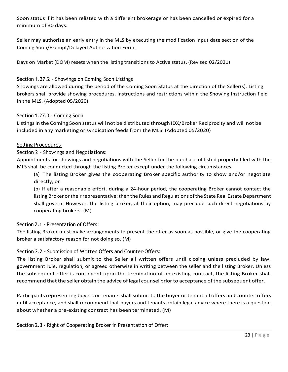Soon status if it has been relisted with a different brokerage or has been cancelled or expired for a minimum of 30 days.

Seller may authorize an early entry in the MLS by executing the modification input date section of the Coming Soon/Exempt/Delayed Authorization Form.

Days on Market (DOM) resets when the listing transitions to Active status. (Revised 02/2021)

# <span id="page-22-0"></span>Section 1.27.2 – Showings on Coming Soon Listings

Showings are allowed during the period of the Coming Soon Status at the direction of the Seller(s). Listing brokers shall provide showing procedures, instructions and restrictions within the Showing Instruction field in the MLS. (Adopted 05/2020)

# <span id="page-22-1"></span>Section 1.27.3 – Coming Soon

Listings in the Coming Soon status will not be distributed through IDX/Broker Reciprocity and will not be included in any marketing or syndication feeds from the MLS. (Adopted 05/2020)

# <span id="page-22-2"></span>Selling Procedures

Section 2 – Showings and Negotiations:

Appointments for showings and negotiations with the Seller for the purchase of listed property filed with the MLS shall be conducted through the listing Broker except under the following circumstances:

(a) The listing Broker gives the cooperating Broker specific authority to show and/or negotiate directly, or

(b) If after a reasonable effort, during a 24-hour period, the cooperating Broker cannot contact the listing Broker or their representative; then the Rules and Regulations of the State Real Estate Department shall govern. However, the listing broker, at their option, may preclude such direct negotiations by cooperating brokers. (M)

# <span id="page-22-3"></span>Section 2.1 - Presentation of Offers:

The listing Broker must make arrangements to present the offer as soon as possible, or give the cooperating broker a satisfactory reason for not doing so. (M)

# <span id="page-22-4"></span>Section 2.2 - Submission of Written Offers and Counter-Offers:

The listing Broker shall submit to the Seller all written offers until closing unless precluded by law, government rule, regulation, or agreed otherwise in writing between the seller and the listing Broker. Unless the subsequent offer is contingent upon the termination of an existing contract, the listing Broker shall recommend that the seller obtain the advice of legal counsel prior to acceptance of the subsequent offer.

Participants representing buyers or tenants shall submit to the buyer or tenant all offers and counter-offers until acceptance, and shall recommend that buyers and tenants obtain legal advice where there is a question about whether a pre-existing contract has been terminated. (M)

<span id="page-22-5"></span>Section 2.3 - Right of Cooperating Broker in Presentation of Offer: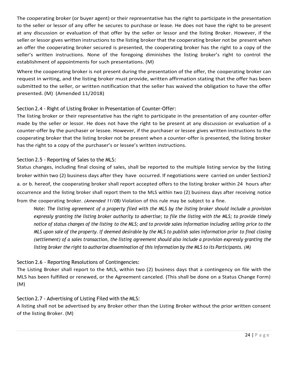The cooperating broker (or buyer agent) or their representative has the right to participate in the presentation to the seller or lessor of any offer he secures to purchase or lease. He does not have the right to be present at any discussion or evaluation of that offer by the seller or lessor and the listing Broker. However, if the seller or lessor gives written instructions to the listing broker that the cooperating broker not be present when an offer the cooperating broker secured is presented, the cooperating broker has the right to a copy of the seller's written instructions. None of the foregoing diminishes the listing broker's right to control the establishment of appointments for such presentations. (M)

Where the cooperating broker is not present during the presentation of the offer, the cooperating broker can request in writing, and the listing broker must provide, written affirmation stating that the offer has been submitted to the seller, or written notification that the seller has waived the obligation to have the offer presented. (M) (Amended 11/2018)

# <span id="page-23-0"></span>Section 2.4 - Right of Listing Broker in Presentation of Counter-Offer:

The listing broker or their representative has the right to participate in the presentation of any counter-offer made by the seller or lessor. He does not have the right to be present at any discussion or evaluation of a counter-offer by the purchaser or lessee. However, if the purchaser or lessee gives written instructions to the cooperating broker that the listing broker not be present when a counter-offer is presented, the listing broker has the right to a copy of the purchaser's or lessee's written instructions.

# <span id="page-23-1"></span>Section 2.5 - Reporting of Sales to the MLS:

Status changes, including final closing of sales, shall be reported to the multiple listing service by the listing broker within two (2) business days after they have occurred. If negotiations were carried on under Section2 a. or b. hereof, the cooperating broker shall report accepted offers to the listing broker within 24 hours after occurrence and the listing broker shall report them to the MLS within two (2) business days after receiving notice from the cooperating broker. *(Amended 11/08)* Violation of this rule may be subject to a fine.

Note: *The listing agreement of a property filed with the MLS by the listing broker should include a provision expressly granting the listing broker authority to advertise; to file the listing with the MLS; to provide timely* notice of status changes of the listing to the MLS; and to provide sales information including selling price to the MLS upon sale of the property. If deemed desirable by the MLS to publish sales information prior to final closing (settlement) of a sales transaction, the listing agreement should also include a provision expressly granting the listing broker the right to authorize dissemination of this information by the MLS to its Participants. (M)

# <span id="page-23-2"></span>Section 2.6 - Reporting Resolutions of Contingencies:

The Listing Broker shall report to the MLS, within two (2) business days that a contingency on file with the MLS has been fulfilled or renewed, or the Agreement canceled. (This shall be done on a Status Change Form) (M)

# <span id="page-23-3"></span>Section 2.7 - Advertising of Listing Filed with the MLS:

A listing shall not be advertised by any Broker other than the Listing Broker without the prior written consent of the listing Broker. (M)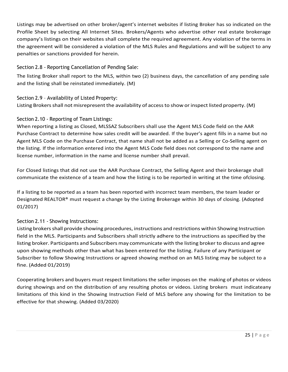<span id="page-24-4"></span>Listings may be advertised on other broker/agent's internet websites if listing Broker has so indicated on the Profile Sheet by selecting All Internet Sites. Brokers/Agents who advertise other real estate brokerage company's listings on their websites shall complete the required agreement. Any violation of the terms in the agreement will be considered a violation of the MLS Rules and Regulations and will be subject to any penalties or sanctions provided for herein.

# <span id="page-24-0"></span>Section 2.8 - Reporting Cancellation of Pending Sale:

The listing Broker shall report to the MLS, within two (2) business days, the cancellation of any pending sale and the listing shall be reinstated immediately. (M)

<span id="page-24-1"></span>Section 2.9 – Availability of Listed Property: Listing Brokers shall not misrepresent the availability of access to show or inspect listed property. (M)

# <span id="page-24-2"></span>Section 2.10 - Reporting of Team Listings:

When reporting a listing as Closed, MLSSAZ Subscribers shall use the Agent MLS Code field on the AAR Purchase Contract to determine how sales credit will be awarded. If the buyer's agent fills in a name but no Agent MLS Code on the Purchase Contract, that name shall not be added as a Selling or Co-Selling agent on the listing. If the information entered into the Agent MLS Code field does not correspond to the name and license number, information in the name and license number shall prevail.

For Closed listings that did not use the AAR Purchase Contract, the Selling Agent and their brokerage shall communicate the existence of a team and how the listing is to be reported in writing at the time ofclosing.

If a listing to be reported as a team has been reported with incorrect team members, the team leader or Designated REALTOR® must request a change by the Listing Brokerage within 30 days of closing. (Adopted 01/2017)

# <span id="page-24-3"></span>Section 2.11 - Showing Instructions:

Listing brokers shall provide showing procedures, instructions and restrictions within Showing Instruction field in the MLS. Participants and Subscribers shall strictly adhere to the instructions as specified by the listing broker. Participants and Subscribers may communicate with the listing broker to discuss and agree upon showing methods other than what has been entered for the listing. Failure of any Participant or Subscriber to follow Showing Instructions or agreed showing method on an MLS listing may be subject to a fine. (Added 01/2019)

Cooperating brokers and buyers must respect limitations the seller imposes on the making of photos or videos during showings and on the distribution of any resulting photos or videos. Listing brokers must indicateany limitations of this kind in the Showing Instruction Field of MLS before any showing for the limitation to be effective for that showing. (Added 03/2020)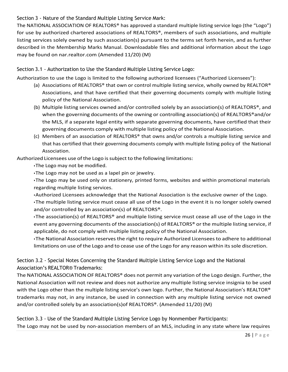# Section 3 - Nature of the Standard Multiple Listing Service Mark:

The NATIONAL ASSOCIATION OF REALTORS® has approved a standard multiple listing service logo (the "Logo") for use by authorized chartered associations of REALTORS®, members of such associations, and multiple listing services solely owned by such association(s) pursuant to the terms set forth herein, and as further described in the Membership Marks Manual. Downloadable files and additional information about the Logo may be found on nar.realtor.com (Amended 11/20) (M)

<span id="page-25-0"></span>Section 3.1 - Authorization to Use the Standard Multiple Listing Service Logo:

Authorization to use the Logo is limited to the following authorized licensees ("Authorized Licensees"):

- (a) Associations of REALTORS® that own or control multiple listing service, wholly owned by REALTOR® Associations, and that have certified that their governing documents comply with multiple listing policy of the National Association.
- (b) Multiple listing services owned and/or controlled solely by an association(s) of REALTORS®, and when the governing documents of the owning or controlling association(s) of REALTORS®and/or the MLS, if a separate legal entity with separate governing documents, have certified that their governing documents comply with multiple listing policy of the National Association.
- (c) Members of an association of REALTORS® that owns and/or controls a multiple listing service and that has certified that their governing documents comply with multiple listing policy of the National Association.

Authorized Licensees use of the Logo is subject to the following limitations:

• The Logo may not be modified.

• The Logo may not be used as a lapel pin or jewelry.

• The Logo may be used only on stationery, printed forms, websites and within promotional materials regarding multiple listing services.

•Authorized Licensees acknowledge that the National Association is the exclusive owner of the Logo.

• The multiple listing service must cease all use of the Logo in the event it is no longer solely owned and/or controlled by an association(s) of REALTORS®.

• The association(s) of REALTORS® and multiple listing service must cease all use of the Logo in the event any governing documents of the association(s) of REALTORS<sup>®</sup> or the multiple listing service, if applicable, do not comply with multiple listing policy of the National Association.

• The National Association reserves the right to require Authorized Licenseesto adhere to additional limitations on use of the Logo and to cease use of the Logo for any reason within its sole discretion.

<span id="page-25-1"></span>Section 3.2 - Special Notes Concerning the Standard Multiple Listing Service Logo and the National Association's REALTOR® Trademarks:

The NATIONAL ASSOCIATION OF REALTORS® does not permit any variation of the Logo design. Further, the National Association will not review and does not authorize any multiple listing service insignia to be used with the Logo other than the multiple listing service's own logo. Further, the National Association's REALTOR® trademarks may not, in any instance, be used in connection with any multiple listing service not owned and/or controlled solely by an association(s)of REALTORS®. (Amended 11/20) (M)

<span id="page-25-2"></span>Section 3.3 - Use of the Standard Multiple Listing Service Logo by Nonmember Participants: The Logo may not be used by non-association members of an MLS, including in any state where law requires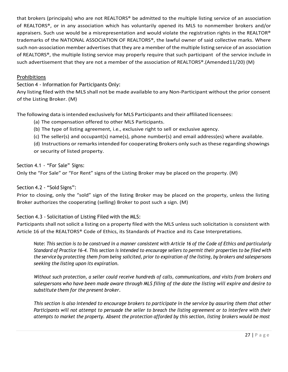that brokers (principals) who are not REALTORS® be admitted to the multiple listing service of an association of REALTORS®, or in any association which has voluntarily opened its MLS to nonmember brokers and/or appraisers. Such use would be a misrepresentation and would violate the registration rights in the REALTOR® trademarks of the NATIONAL ASSOCIATION OF REALTORS®, the lawful owner of said collective marks. Where such non-association member advertises that they are a member of the multiple listing service of an association of REALTORS®, the multiple listing service may properly require that such participant of the service include in such advertisement that they are not a member of the association of REALTORS®.(Amended11/20) (M)

### <span id="page-26-0"></span>**Prohibitions**

Section 4 - Information for Participants Only:

Any listing filed with the MLS shall not be made available to any Non-Participant without the prior consent of the Listing Broker. (M)

The following data is intended exclusively for MLS Participants and their affiliated licensees:

(a) The compensation offered to other MLS Participants.

(b) The type of listing agreement, i.e., exclusive right to sell or exclusive agency.

(c) The seller(s) and occupant(s) name(s), phone number(s) and email address(es) where available.

(d) Instructions or remarksintended for cooperating Brokers only such asthese regarding showings or security of listed property.

<span id="page-26-1"></span>Section 4.1 - "For Sale" Signs:

Only the "For Sale" or "For Rent" signs of the Listing Broker may be placed on the property. (M)

<span id="page-26-2"></span>Section 4.2 - "Sold Signs":

Prior to closing, only the "sold" sign of the listing Broker may be placed on the property, unless the listing Broker authorizes the cooperating (selling) Broker to post such a sign. (M)

<span id="page-26-3"></span>Section 4.3 - Solicitation of Listing Filed with the MLS:

Participants shall not solicit a listing on a property filed with the MLS unless such solicitation is consistent with Article 16 of the REALTORS® Code of Ethics, its Standards of Practice and its Case Interpretations.

Note: This section is to be construed in a manner consistent with Article 16 of the Code of Ethics and particularly Standard of Practice 16-4. This section is intended to encourage sellers to permit their properties to be filed with the service by protecting them from being solicited, prior to expiration of the listing, by brokers and salespersons *seeking the listing upon its expiration.*

*Without such protection, a seller could receive hundreds of calls, communications, and visits from brokers and* salespersons who have been made aware through MLS filing of the date the listing will expire and desire to *substitute them for the present broker.*

This section is also intended to encourage brokers to participate in the service by assuring them that other *Participants will not attempt to persuade the seller to breach the listing agreement or to interfere with their* attempts to market the property. Absent the protection afforded by this section, listing brokers would be most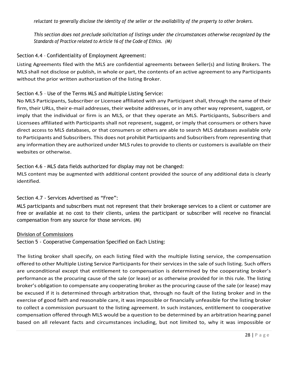reluctant to generally disclose the identity of the seller or the availability of the property to other brokers.

*This section does not preclude solicitation of listings under the circumstances otherwise recognized by the Standards of Practice related to Article 16 of the Code of Ethics. (M)*

### <span id="page-27-0"></span>Section 4.4 – Confidentiality of Employment Agreement:

Listing Agreements filed with the MLS are confidential agreements between Seller(s) and listing Brokers. The MLS shall not disclose or publish, in whole or part, the contents of an active agreement to any Participants without the prior written authorization of the listing Broker.

### <span id="page-27-1"></span>Section 4.5 – Use of the Terms MLS and Multiple Listing Service:

No MLS Participants, Subscriber or Licensee affiliated with any Participant shall, through the name of their firm, their URLs, their e-mail addresses, their website addresses, or in any other way represent, suggest, or imply that the individual or firm is an MLS, or that they operate an MLS. Participants, Subscribers and Licensees affiliated with Participants shall not represent, suggest, or imply that consumers or others have direct access to MLS databases, or that consumers or others are able to search MLS databases available only to Participants and Subscribers. This does not prohibit Participants and Subscribers from representing that any information they are authorized under MLS rules to provide to clients or customers is available on their websites or otherwise.

### <span id="page-27-2"></span>Section 4.6 - MLS data fields authorized for display may not be changed:

MLS content may be augmented with additional content provided the source of any additional data is clearly identified.

# Section 4.7 - Services Advertised as "Free":

MLS participants and subscribers must not represent that their brokerage services to a client or customer are free or available at no cost to their clients, unless the participant or subscriber will receive no financial compensation from any source for those services. (M)

### <span id="page-27-3"></span>Division of Commissions

Section 5 - Cooperative Compensation Specified on Each Listing:

The listing broker shall specify, on each listing filed with the multiple listing service, the compensation offered to other Multiple Listing Service Participants for their services in the sale of such listing. Such offers are unconditional except that entitlement to compensation is determined by the cooperating broker's performance as the procuring cause of the sale (or lease) or as otherwise provided for in this rule. The listing broker's obligation to compensate any cooperating broker asthe procuring cause of the sale (or lease) may be excused if it is determined through arbitration that, through no fault of the listing broker and in the exercise of good faith and reasonable care, it was impossible or financially unfeasible for the listing broker to collect a commission pursuant to the listing agreement. In such instances, entitlement to cooperative compensation offered through MLS would be a question to be determined by an arbitration hearing panel based on all relevant facts and circumstances including, but not limited to, why it was impossible or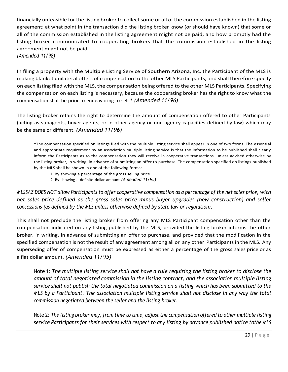financially unfeasible for the listing broker to collect some or all of the commission established in the listing agreement; at what point in the transaction did the listing broker know (or should have known) that some or all of the commission established in the listing agreement might not be paid; and how promptly had the listing broker communicated to cooperating brokers that the commission established in the listing agreement might not be paid.

*(Amended 11/98)*

In filing a property with the Multiple Listing Service of Southern Arizona, Inc. the Participant of the MLS is making blanket unilateral offers of compensation to the other MLS Participants, and shall therefore specify on each listing filed with the MLS, the compensation being offered to the other MLS Participants. Specifying the compensation on each listing is necessary, because the cooperating broker has the right to know what the compensation shall be prior to endeavoring to sell.\* *(Amended 11/96)*

The listing broker retains the right to determine the amount of compensation offered to other Participants (acting as subagents, buyer agents, or in other agency or non-agency capacities defined by law) which may be the same or different. *(Amended 11/96)*

\*The compensation specified on listings filed with the multiple listing service shall appear in one of two forms. The essential and appropriate requirement by an association multiple listing service is that the information to be published shall clearly inform the Participants as to the compensation they will receive in cooperative transactions, unless advised otherwise by the listing broker, in writing, in advance of submitting an offer to purchase. The compensation specified on listings published by the MLS shall be shown in one of the following forms:

1. By showing a percentage of the gross selling price

2. By showing a definite dollar amount *(Amended 11/95)*

*MLSSAZ DOES NOT allow Participants to offer cooperative compensation as a percentage of the net sales price, with net sales price defined as the gross sales price minus buyer upgrades (new construction) and seller concessions (as defined by the MLS unless otherwise defined by state law or regulation).*

This shall not preclude the listing broker from offering any MLS Participant compensation other than the compensation indicated on any listing published by the MLS, provided the listing broker informs the other broker, in writing, in advance of submitting an offer to purchase, and provided that the modification in the specified compensation is not the result of any agreement among all or any other Participants in the MLS. Any superseding offer of compensation must be expressed as either a percentage of the gross sales price or as a flat dollar amount. *(Amended 11/95)*

Note 1: *The multiple listing service shall not have a rule requiring the listing broker to disclose the amount of total negotiated commission in the listing contract, and the association multiple listing service shall not publish the total negotiated commission on a listing which has been submitted to the MLS by a Participant. The association multiple listing service shall not disclose in any way the total commission negotiated between the seller and the listing broker.*

Note 2: The listing broker may, from time to time, adjust the compensation offered to other multiple listing *service Participants for their services with respect to any listing by advance published notice tothe MLS*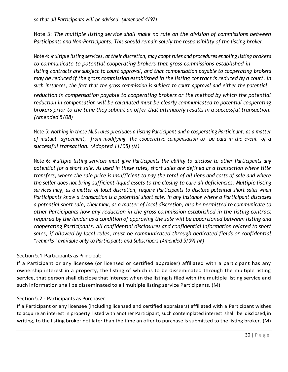Note 3: *The multiple listing service shall make no rule on the division of commissions between Participants and Non-Participants. This should remain solely the responsibility of the listing broker.*

Note 4: *Multiple listing services, at their discretion, may adopt rules and procedures enabling listing brokers to communicate to potential cooperating brokers that gross commissions established in listing contracts are subject to court approval, and that compensation payable to cooperating brokers* may be reduced if the gross commission established in the listing contract is reduced by a court. In *such instances, the fact that the gross commission is subject to court approval and either the potential*

*reduction in compensation payable to cooperating brokers or the method by which the potential reduction in compensation will be calculated must be clearly communicated to potential cooperating brokers prior to the time they submit an offer that ultimately results in a successful transaction. (Amended 5/08)*

Note 5: *Nothing in these MLS rules precludes a listing Participant and a cooperating Participant, as a matter of mutual agreement, from modifying the cooperative compensation to be paid in the event of a successful transaction. (Adopted 11/05) (M)*

Note 6: *Multiple listing services must give Participants the ability to disclose to other Participants any potential for a short sale. As used in these rules, short sales are defined as a transaction where title transfers, where the sale price is insufficient to pay the total of all liens and costs of sale and where* the seller does not bring sufficient liquid assets to the closing to cure all deficiencies. Multiple listing *services may, as a matter of local discretion, require Participants to disclose potential short sales when Participants know a transaction is a potential short sale. In any instance where a Participant discloses* a potential short sale, they may, as a matter of local discretion, also be permitted to communicate to *other Participants how any reduction in the gross commission established in the listing contract required by the lender as a condition of approving the sale will be apportioned between listing and cooperating Participants. All confidential disclosures and confidential information related to short sales, if allowed by local rules, must be communicated through dedicated fields or confidential "remarks" available only to Participants and Subscribers (Amended 5/09) (M)*

# <span id="page-29-0"></span>Section 5.1-Participants as Principal:

If a Participant or any licensee (or licensed or certified appraiser) affiliated with a participant has any ownership interest in a property, the listing of which is to be disseminated through the multiple listing service, that person shall disclose that interest when the listing is filed with the multiple listing service and such information shall be disseminated to all multiple listing service Participants. (M)

# <span id="page-29-1"></span>Section 5.2 - Participants as Purchaser:

If a Participant or any licensee (including licensed and certified appraisers) affiliated with a Participant wishes to acquire an interest in property listed with another Participant, such contemplated interest shall be disclosed,in writing, to the listing broker not later than the time an offer to purchase is submitted to the listing broker. (M)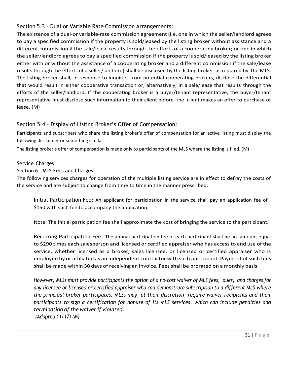# <span id="page-30-0"></span>Section 5.3 – Dual or Variable Rate Commission Arrangements:

The existence of a dual-or variable-rate commission agreement (i.e. one in which the seller/landlord agrees to pay a specified commission if the property is sold/leased by the listing broker without assistance and a different commission if the sale/lease results through the efforts of a cooperating broker; or one in which the seller/landlord agrees to pay a specified commission if the property is sold/leased by the listing broker either with or without the assistance of a cooperating broker and a different commission if the sale/lease results through the efforts of a seller/landlord) shall be disclosed by the listing broker as required by the MLS. The listing broker shall, in response to inquiries from potential cooperating brokers, disclose the differential that would result in either cooperative transaction or, alternatively, in a sale/lease that results through the efforts of the seller/landlord. If the cooperating broker is a buyer/tenant representative, the buyer/tenant representative must disclose such information to their client before the client makes an offer to purchase or lease. (M)

# Section 5.4 – Display of Listing Broker's Offer of Compensation:

Participants and subscribers who share the listing broker's offer of compensation for an active listing must display the following disclaimer or something similar.

The listing broker's offer of compensation is made only to participants of the MLS where the listing is filed. (M)

# <span id="page-30-1"></span>Service Charges

Section 6 - MLS Fees and Charges:

The following services charges for operation of the multiple listing service are in effect to defray the costs of the service and are subject to change from time to time in the manner prescribed:

Initial Participation Fee: An applicant for participation in the service shall pay an application fee of \$150 with such fee to accompany the application.

Note: The initial participation fee shall approximate the cost of bringing the service to the participant.

Recurring Participation Fee: The annual participation fee of each participant shall be an amount equal to \$290 times each salesperson and licensed or certified appraiser who has access to and use of the service, whether licensed as a broker, sales licensee, or licensed or certified appraiser who is employed by or affiliated as an independent contractor with such participant. Payment of such fees shall be made within 30 days of receiving an invoice. Feesshall be prorated on a monthly basis.

*However, MLSs must provide participants the option of a no-cost waiver of MLS fees, dues, and charges for any licensee or licensed or certified appraiser who can demonstrate subscription to a different MLS where the principal broker participates. MLSs may, at their discretion, require waiver recipients and their participants to sign a certification for nonuse of its MLS services, which can include penalties and termination of the waiver if violated. (Adopted 11/17) (M)*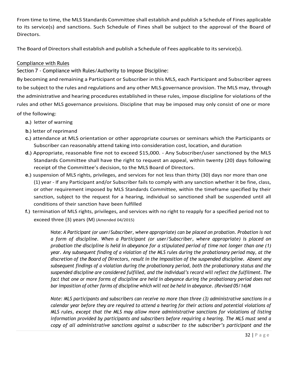From time to time, the MLS Standards Committee shall establish and publish a Schedule of Fines applicable to its service(s) and sanctions. Such Schedule of Fines shall be subject to the approval of the Board of Directors.

The Board of Directors shall establish and publish a Schedule of Fees applicable to its service(s).

# <span id="page-31-0"></span>Compliance with Rules

Section 7 - Compliance with Rules/Authority to Impose Discipline:

By becoming and remaining a Participant or Subscriber in this MLS, each Participant and Subscriber agrees to be subject to the rules and regulations and any other MLS governance provision. The MLS may, through the administrative and hearing procedures established in these rules, impose discipline for violations of the rules and other MLS governance provisions. Discipline that may be imposed may only consist of one or more of the following:

- a.) letter of warning
- b.) letter of reprimand
- c.) attendance at MLS orientation or other appropriate courses or seminars which the Participants or Subscriber can reasonably attend taking into consideration cost, location, and duration
- d.) Appropriate, reasonable fine not to exceed \$15,000. Any Subscriber/user sanctioned by the MLS Standards Committee shall have the right to request an appeal, within twenty (20) days following receipt of the Committee's decision, to the MLS Board of Directors.
- e.) suspension of MLS rights, privileges, and services for not less than thirty (30) days nor more than one (1) year - If any Participant and/or Subscriber fails to comply with any sanction whether it be fine, class, or other requirement imposed by MLS Standards Committee, within the timeframe specified by their sanction, subject to the request for a hearing, individual so sanctioned shall be suspended until all conditions of their sanction have been fulfilled
- f.) termination of MLS rights, privileges, and services with no right to reapply for a specified period not to exceed three (3) years (M) (Amended 04/2015)

Note: *A Participant (or user/Subscriber, where appropriate) can be placed on probation. Probation is not a form of discipline. When a Participant (or user/Subscriber, where appropriate) is placed on probation the discipline is held in abeyance for a stipulated period of time not longer than one (1) year. Any subsequent finding of a violation of the MLS rules during the probationary period may, at the discretion of the Board of Directors, result in the imposition of the suspended discipline. Absent any subsequent findings of a violation during the probationary period, both the probationary status and the suspended discipline are considered fulfilled, and the individual's record will reflect the fulfilment. The fact that one or more forms of discipline are held in abeyance during the probationary period does not bar imposition of other forms of discipline which will not be held in abeyance. (Revised 05/14)M*

*Note: MLS participants and subscribers can receive no more than three (3) administrative sanctions in a calendar year before they are required to attend a hearing for their actions and potential violations of MLS rules, except that the MLS may allow more administrative sanctions for violations of listing information provided by participants and subscribers before requiring a hearing. The MLS must send a copy of all administrative sanctions against a subscriber to the subscriber's participant and the*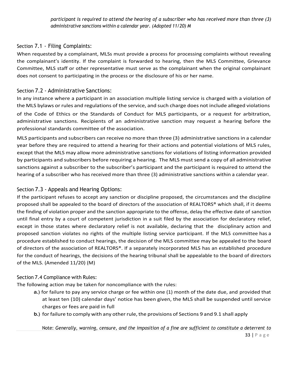*participant is required to attend the hearing of a subscriber who has received more than three (3) administrative sanctions within a calendar year. (Adopted 11/20) M*

# <span id="page-32-0"></span>Section 7.1 - Filing Complaints:

When requested by a complainant, MLSs must provide a process for processing complaints without revealing the complainant's identity. If the complaint is forwarded to hearing, then the MLS Committee, Grievance Committee, MLS staff or other representative must serve as the complainant when the original complainant does not consent to participating in the process or the disclosure of his or her name.

# <span id="page-32-1"></span>Section 7.2 - Administrative Sanctions:

In any instance where a participant in an association multiple listing service is charged with a violation of the MLS bylaws or rules and regulations of the service, and such charge does not include alleged violations of the Code of Ethics or the Standards of Conduct for MLS participants, or a request for arbitration, administrative sanctions. Recipients of an administrative sanction may request a hearing before the professional standards committee of the association.

MLS participants and subscribers can receive no more than three (3) administrative sanctionsin a calendar year before they are required to attend a hearing for their actions and potential violations of MLS rules, except that the MLS may allow more administrative sanctions for violations of listing information provided by participants and subscribers before requiring a hearing. The MLS must send a copy of all administrative sanctions against a subscriber to the subscriber's participant and the participant is required to attend the hearing of a subscriber who has received more than three (3) administrative sanctions within a calendar year.

# <span id="page-32-2"></span>Section 7.3 - Appeals and Hearing Options:

If the participant refuses to accept any sanction or discipline proposed, the circumstances and the discipline proposed shall be appealed to the board of directors of the association of REALTORS® which shall, if it deems the finding of violation proper and the sanction appropriate to the offense, delay the effective date of sanction until final entry by a court of competent jurisdiction in a suit filed by the association for declaratory relief, except in those states where declaratory relief is not available, declaring that the disciplinary action and proposed sanction violates no rights of the multiple listing service participant. If the MLS committee has a procedure established to conduct hearings, the decision of the MLS committee may be appealed to the board of directors of the association of REALTORS®. If a separately incorporated MLS has an established procedure for the conduct of hearings, the decisions of the hearing tribunal shall be appealable to the board of directors of the MLS. (Amended 11/20) (M)

# <span id="page-32-3"></span>Section 7.4 Compliance with Rules:

The following action may be taken for noncompliance with the rules:

- a.) for failure to pay any service charge or fee within one (1) month of the date due, and provided that at least ten (10) calendar days' notice has been given, the MLS shall be suspended until service charges or fees are paid in full
- b.) for failure to comply with any other rule, the provisions of Sections 9 and 9.1 shall apply

33 | P a g e Note: *Generally, warning, censure, and the imposition of a fine are sufficient to constitute a deterrent to*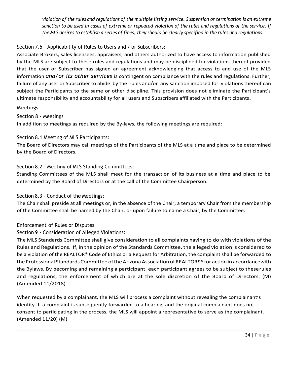violation of the rules and regulations of the multiple listing service. Suspension or termination is an extreme *sanction to be used in cases of extreme or repeated violation of the rules and regulations of the service. If* the MLS desires to establish a series of fines, they should be clearly specified in the rules and regulations.

# <span id="page-33-0"></span>Section 7.5 - Applicability of Rules to Users and / or Subscribers:

Associate Brokers, sales licensees, appraisers, and others authorized to have access to information published by the MLS are subject to these rules and regulations and may be disciplined for violations thereof provided that the user or Subscriber has signed an agreement acknowledging that access to and use of the MLS information *and/or its other services* is contingent on compliance with the rules and regulations. Further, failure of any user or Subscriber to abide by the rules and/or any sanction imposed for violations thereof can subject the Participants to the same or other discipline. This provision does not eliminate the Participant's ultimate responsibility and accountability for all users and Subscribers affiliated with the Participants*.*

### <span id="page-33-1"></span>Meetings

### Section 8 - Meetings

In addition to meetings as required by the By-laws, the following meetings are required:

# <span id="page-33-2"></span>Section 8.1 Meeting of MLS Participants:

The Board of Directors may call meetings of the Participants of the MLS at a time and place to be determined by the Board of Directors.

# <span id="page-33-3"></span>Section 8.2 - Meeting of MLS Standing Committees:

Standing Committees of the MLS shall meet for the transaction of its business at a time and place to be determined by the Board of Directors or at the call of the Committee Chairperson.

# <span id="page-33-4"></span>Section 8.3 - Conduct of the Meetings:

The Chair shall preside at all meetings or, in the absence of the Chair; a temporary Chair from the membership of the Committee shall be named by the Chair, or upon failure to name a Chair, by the Committee.

# <span id="page-33-5"></span>Enforcement of Rules or Disputes

# Section 9 - Consideration of Alleged Violations:

The MLS Standards Committee shall give consideration to all complaints having to do with violations of the Rules and Regulations. If, in the opinion of the Standards Committee, the alleged violation is considered to be a violation of the REALTOR® Code of Ethics or a Request for Arbitration, the complaint shall be forwarded to the Professional Standards Committee of the Arizona Association of REALTORS® for action in accordancewith the Bylaws. By becoming and remaining a participant, each participant agrees to be subject to theserules and regulations, the enforcement of which are at the sole discretion of the Board of Directors. (M) (Amended 11/2018)

When requested by a complainant, the MLS will process a complaint without revealing the complainant's identity. If a complaint is subsequently forwarded to a hearing, and the original complainant does not consent to participating in the process, the MLS will appoint a representative to serve as the complainant. (Amended 11/20) (M)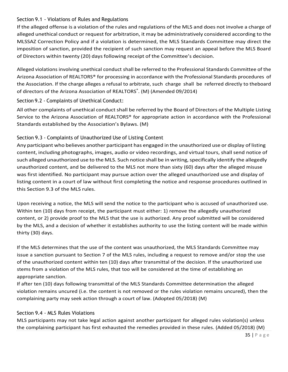### <span id="page-34-0"></span>Section 9.1 - Violations of Rules and Regulations

If the alleged offense is a violation of the rules and regulations of the MLS and does not involve a charge of alleged unethical conduct or request for arbitration, it may be administratively considered according to the MLSSAZ Correction Policy and if a violation is determined, the MLS Standards Committee may direct the imposition of sanction, provided the recipient of such sanction may request an appeal before the MLS Board of Directors within twenty (20) days following receipt of the Committee's decision.

Alleged violations involving unethical conduct shall be referred to the Professional Standards Committee of the Arizona Association of REALTORS® for processing in accordance with the Professional Standards procedures of the Association. If the charge alleges a refusal to arbitrate, such charge shall be referred directly to theboard of directors of the Arizona Association of REALTORS®. (M) (Amended 09/2014)

<span id="page-34-1"></span>Section 9.2 - Complaints of Unethical Conduct:

All other complaints of unethical conduct shall be referred by the Board of Directors of the Multiple Listing Service to the Arizona Association of REALTORS® for appropriate action in accordance with the Professional Standards established by the Association's Bylaws. (M)

# <span id="page-34-2"></span>Section 9.3 - Complaints of Unauthorized Use of Listing Content

Any participant who believes another participant has engaged in the unauthorized use or display of listing content, including photographs, images, audio or video recordings, and virtual tours, shall send notice of such alleged unauthorized use to the MLS. Such notice shall be in writing, specifically identify the allegedly unauthorized content, and be delivered to the MLS not more than sixty (60) days after the alleged misuse was first identified. No participant may pursue action over the alleged unauthorized use and display of listing content in a court of law without first completing the notice and response procedures outlined in this Section 9.3 of the MLS rules.

Upon receiving a notice, the MLS will send the notice to the participant who is accused of unauthorized use. Within ten (10) days from receipt, the participant must either: 1) remove the allegedly unauthorized content, or 2) provide proof to the MLS that the use is authorized. Any proof submitted will be considered by the MLS, and a decision of whether it establishes authority to use the listing content will be made within thirty (30) days.

If the MLS determines that the use of the content was unauthorized, the MLS Standards Committee may issue a sanction pursuant to Section 7 of the MLS rules, including a request to remove and/or stop the use of the unauthorized content within ten (10) days after transmittal of the decision. If the unauthorized use stems from a violation of the MLS rules, that too will be considered at the time of establishing an appropriate sanction.

If after ten (10) days following transmittal of the MLS Standards Committee determination the alleged violation remains uncured (i.e. the content is not removed or the rules violation remains uncured), then the complaining party may seek action through a court of law. (Adopted 05/2018) (M)

# <span id="page-34-3"></span>Section 9.4 - MLS Rules Violations

MLS participants may not take legal action against another participant for alleged rules violation(s) unless the complaining participant has first exhausted the remedies provided in these rules. (Added 05/2018) (M)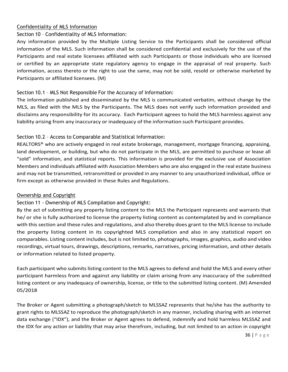### <span id="page-35-0"></span>Confidentiality of MLS Information

# Section 10 – Confidentiality of MLS Information:

Any information provided by the Multiple Listing Service to the Participants shall be considered official information of the MLS. Such information shall be considered confidential and exclusively for the use of the Participants and real estate licensees affiliated with such Participants or those individuals who are licensed or certified by an appropriate state regulatory agency to engage in the appraisal of real property. Such information, access thereto or the right to use the same, may not be sold, resold or otherwise marketed by Participants or affiliated licensees. (M)

# <span id="page-35-1"></span>Section 10.1 – MLS Not Responsible For the Accuracy of Information:

The information published and disseminated by the MLS is communicated verbatim, without change by the MLS, as filed with the MLS by the Participants. The MLS does not verify such information provided and disclaims any responsibility for its accuracy. Each Participant agrees to hold the MLS harmless against any liability arising from any inaccuracy or inadequacy of the information such Participant provides.

# <span id="page-35-2"></span>Section 10.2 – Access to Comparable and Statistical Information:

REALTORS® who are actively engaged in real estate brokerage, management, mortgage financing, appraising, land development, or building, but who do not participate in the MLS, are permitted to purchase or lease all "sold" information, and statistical reports. This information is provided for the exclusive use of Association Members and individuals affiliated with Association Members who are also engaged in the real estate business and may not be transmitted, retransmitted or provided in any manner to any unauthorized individual, office or firm except as otherwise provided in these Rules and Regulations.

# <span id="page-35-3"></span>Ownership and Copyright

# Section 11 - Ownership of MLS Compilation and Copyright:

By the act of submitting any property listing content to the MLS the Participant represents and warrants that he/ or she is fully authorized to license the property listing content as contemplated by and in compliance with thissection and these rules and regulations, and also thereby does grant to the MLS license to include the property listing content in its copyrighted MLS compilation and also in any statistical report on comparables. Listing content includes, but is not limited to, photographs, images, graphics, audio and video recordings, virtual tours, drawings, descriptions, remarks, narratives, pricing information, and other details or information related to listed property.

Each participant who submitslisting content to the MLS agreesto defend and hold the MLS and every other participant harmless from and against any liability or claim arising from any inaccuracy of the submitted listing content or any inadequacy of ownership, license, or title to the submitted listing content. (M) Amended 05/2018

The Broker or Agent submitting a photograph/sketch to MLSSAZ represents that he/she has the authority to grant rights to MLSSAZ to reproduce the photograph/sketch in any manner, including sharing with an internet data exchange ("IDX"), and the Broker or Agent agrees to defend, indemnify and hold harmless MLSSAZ and the IDX for any action or liability that may arise therefrom, including, but not limited to an action in copyright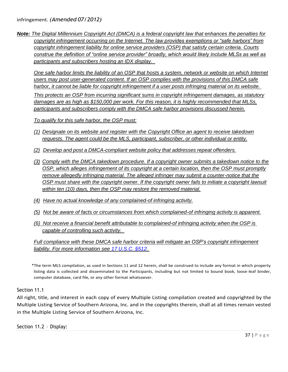*Note: The Digital Millennium Copyright Act (DMCA) is a federal copyright law that enhances the penalties for copyright infringement occurring on the Internet. The law provides exemptions or "safe harbors" from copyright infringement liability for online service providers (OSP) that satisfy certain criteria. Courts construe the definition of "online service provider" broadly, which would likely include MLSs as well as participants and subscribers hosting an IDX display.* 

*One safe harbor limits the liability of an OSP that hosts a system, network or website on which Internet users may post user-generated content. If an OSP complies with the provisions of this DMCA safe* harbor, it cannot be liable for copyright infringement if a user posts infringing material on its website.

*This protects an OSP from incurring significant sums in copyright infringement damages, as statutory damages are as high as \$150,000 per work. For this reason, it is highly recommended that MLSs, participants and subscribers comply with the DMCA safe harbor provisions discussed herein.*

*To qualify for this safe harbor, the OSP must:*

- *(1) Designate on its website and register with the Copyright Office an agent to receive takedown requests. The agent could be the MLS, participant, subscriber, or other individual or entity.*
- *(2) Develop and post a DMCA-compliant website policy that addresses repeat offenders.*
- *(3) Comply with the DMCA takedown procedure. If a copyright owner submits a takedown notice to the OSP, which alleges infringement of its copyright at a certain location, then the OSP must promptly remove allegedly infringing material. The alleged infringer may submit a counter-notice that the OSP must share with the copyright owner. If the copyright owner fails to initiate a copyright lawsuit within ten (10) days, then the OSP may restore the removed material.*
- *(4) Have no actual knowledge of any complained-of infringing activity.*
- *(5) Not be aware of facts or circumstances from which complained-of infringing activity is apparent.*
- *(6) Not receive a financial benefit attributable to complained-of infringing activity when the OSP is capable of controlling such activity.*

*Full compliance with these DMCA safe harbor criteria will mitigate an OSP's copyright infringement liability. For more information see 17 [U.S.C.](https://www.law.cornell.edu/uscode/text/17/512) §512.*

\*The term MLS compilation, as used in Sections 11 and 12 herein, shall be construed to include any format in which property listing data is collected and disseminated to the Participants, including but not limited to bound book, loose-leaf binder, computer database, card file, or any other format whatsoever.

### <span id="page-36-0"></span>Section 11.1

All right, title, and interest in each copy of every Multiple Listing compilation created and copyrighted by the Multiple Listing Service of Southern Arizona, Inc. and in the copyrights therein, shall at all times remain vested in the Multiple Listing Service of Southern Arizona, Inc.

<span id="page-36-1"></span>Section 11.2 – Display: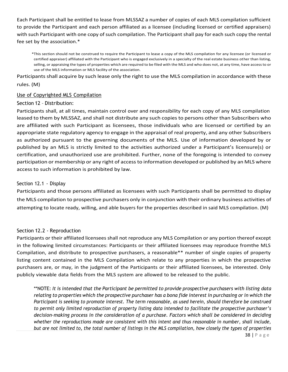Each Participant shall be entitled to lease from MLSSAZ a number of copies of each MLS compilation sufficient to provide the Participant and each person affiliated as a licensee (including licensed or certified appraisers) with such Participant with one copy of such compilation. The Participant shall pay for each such copy the rental fee set by the association.\*

\*This section should not be construed to require the Participant to lease a copy of the MLS compilation for any licensee (or licensed or certified appraiser) affiliated with the Participant who is engaged exclusively in a specialty of the real estate business other than listing, selling, or appraising the types of properties which are required to be filed with the MLS and who does not, at any time, have access to or use of the MLS information or MLS facility of the association.

Participants shall acquire by such lease only the right to use the MLS compilation in accordance with these rules. (M)

#### <span id="page-37-0"></span>Use of Copyrighted MLS Compilation

#### Section 12 – Distribution:

Participants shall, at all times, maintain control over and responsibility for each copy of any MLS compilation leased to them by MLSSAZ, and shall not distribute any such copies to persons other than Subscribers who are affiliated with such Participant as licensees, those individuals who are licensed or certified by an appropriate state regulatory agency to engage in the appraisal of real property, and any other Subscribers as authorized pursuant to the governing documents of the MLS. Use of information developed by or published by an MLS is strictly limited to the activities authorized under a Participant's licensure(s) or certification, and unauthorized use are prohibited. Further, none of the foregoing is intended to convey participation or membership or any right of access to information developed or published by an MLS where access to such information is prohibited by law.

#### <span id="page-37-1"></span>Section 12.1 - Display

Participants and those persons affiliated as licensees with such Participants shall be permitted to display the MLS compilation to prospective purchasers only in conjunction with their ordinary business activities of attempting to locate ready, willing, and able buyers for the properties described in said MLS compilation. (M)

#### <span id="page-37-2"></span>Section 12.2 - Reproduction

Participants or their affiliated licensees shall not reproduce any MLS Compilation or any portion thereof except in the following limited circumstances: Participants or their affiliated licensees may reproduce fromthe MLS Compilation, and distribute to prospective purchasers, a reasonable\*\* number of single copies of property listing content contained in the MLS Compilation which relate to any properties in which the prospective purchasers are, or may, in the judgment of the Participants or their affiliated licensees, be interested. Only publicly viewable data fields from the MLS system are allowed to be released to the public.

\*\*NOTE: *It is intended that the Participant be permitted to provide prospective purchasers with listing data* relating to properties which the prospective purchaser has a bona fide interest in purchasing or in which the *Participant is seeking to promote interest. The term reasonable, as used herein, should therefore be construed to permit only limited reproduction of property listing data intended to facilitate the prospective purchaser's decision-making process in the consideration of a purchase. Factors which shall be considered in deciding whether the reproductions made are consistent with this intent and thus reasonable in number, shall include, but are not limited to, the total number of listings in the MLS compilation, how closely the types of properties*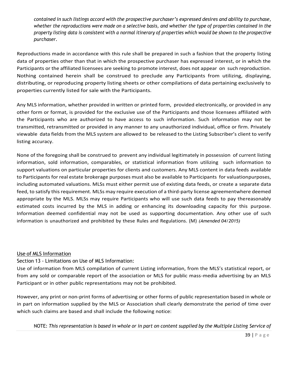*contained in such listings accord with the prospective purchaser's expressed desires and ability to purchase,* whether the reproductions were made on a selective basis, and whether the type of properties contained in the property listing data is consistent with a normal itinerary of properties which would be shown to the prospective *purchaser.*

Reproductions made in accordance with this rule shall be prepared in such a fashion that the property listing data of properties other than that in which the prospective purchaser has expressed interest, or in which the Participants or the affiliated licensees are seeking to promote interest, does not appear on such reproduction. Nothing contained herein shall be construed to preclude any Participants from utilizing, displaying, distributing, or reproducing property listing sheets or other compilations of data pertaining exclusively to properties currently listed for sale with the Participants.

Any MLS information, whether provided in written or printed form, provided electronically, or provided in any other form or format, is provided for the exclusive use of the Participants and those licensees affiliated with the Participants who are authorized to have access to such information. Such information may not be transmitted, retransmitted or provided in any manner to any unauthorized individual, office or firm. Privately viewable data fields from the MLS system are allowed to be released to the Listing Subscriber's client to verify listing accuracy.

None of the foregoing shall be construed to prevent any individual legitimately in possession of current listing information, sold information, comparables, or statistical information from utilizing such information to support valuations on particular properties for clients and customers. Any MLS content in data feeds available to Participants for real estate brokerage purposes must also be available to Participants for valuationpurposes, including automated valuations. MLSs must either permit use of existing data feeds, or create a separate data feed, to satisfy this requirement. MLSs may require execution of a third-party license agreementwhere deemed appropriate by the MLS. MLSs may require Participants who will use such data feeds to pay thereasonably estimated costs incurred by the MLS in adding or enhancing its downloading capacity for this purpose. Information deemed confidential may not be used as supporting documentation. Any other use of such information is unauthorized and prohibited by these Rules and Regulations. (M) *(Amended 04/2015)*

### <span id="page-38-0"></span>Use of MLS Information

Section 13 - Limitations on Use of MLS Information:

Use of information from MLS compilation of current Listing information, from the MLS's statistical report, or from any sold or comparable report of the association or MLS for public mass-media advertising by an MLS Participant or in other public representations may not be prohibited.

However, any print or non-print forms of advertising or other forms of public representation based in whole or in part on information supplied by the MLS or Association shall clearly demonstrate the period of time over which such claims are based and shall include the following notice:

NOTE: This representation is based in whole or in part on content supplied by the Multiple Listing Service of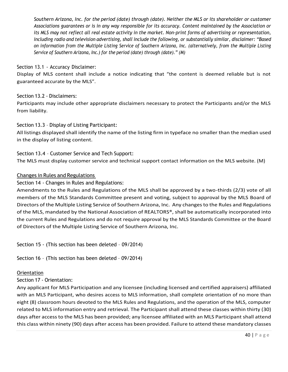Southern Arizona, Inc. for the period (date) through (date). Neither the MLS or its shareholder or customer *Associations guarantees or is in any way responsible for its accuracy. Content maintained by the Association or its MLS may not reflect all real estate activity in the market. Non-print forms of advertising or representation, including radio and television advertising, shall include the following, or substantially similar, disclaimer: "Based on information from the Multiple Listing Service of Southern Arizona, Inc. (alternatively, from the Multiple Listing Service of Southern Arizona, Inc.) for the period (date) through (date)." (M)*

### <span id="page-39-0"></span>Section 13.1 - Accuracy Disclaimer:

Display of MLS content shall include a notice indicating that "the content is deemed reliable but is not guaranteed accurate by the MLS".

### <span id="page-39-1"></span>Section 13.2 - Disclaimers:

Participants may include other appropriate disclaimers necessary to protect the Participants and/or the MLS from liability.

### <span id="page-39-2"></span>Section 13.3 – Display of Listing Participant:

All listings displayed shall identify the name of the listing firm in typeface no smaller than the median used in the display of listing content.

### <span id="page-39-3"></span>Section 13.4 – Customer Service and Tech Support: The MLS must display customer service and technical support contact information on the MLS website. (M)

### <span id="page-39-4"></span>Changes in Rules and Regulations

### Section 14 - Changes in Rules and Regulations:

Amendments to the Rules and Regulations of the MLS shall be approved by a two-thirds (2/3) vote of all members of the MLS Standards Committee present and voting, subject to approval by the MLS Board of Directors of the Multiple Listing Service of Southern Arizona, Inc. Any changesto the Rules and Regulations of the MLS, mandated by the National Association of REALTORS®, shall be automatically incorporated into the current Rules and Regulations and do not require approval by the MLS Standards Committee or the Board of Directors of the Multiple Listing Service of Southern Arizona, Inc.

Section 15 - (This section has been deleted – 09/2014)

Section 16 – (This section has been deleted – 09/2014)

### <span id="page-39-5"></span>**Orientation**

### Section 17 - Orientation:

Any applicant for MLS Participation and any licensee (including licensed and certified appraisers) affiliated with an MLS Participant, who desires access to MLS information, shall complete orientation of no more than eight (8) classroom hours devoted to the MLS Rules and Regulations, and the operation of the MLS, computer related to MLS information entry and retrieval. The Participant shall attend these classes within thirty (30) days after accessto the MLS has been provided; any licensee affiliated with an MLS Participant shall attend this class within ninety (90) days after access has been provided. Failure to attend these mandatory classes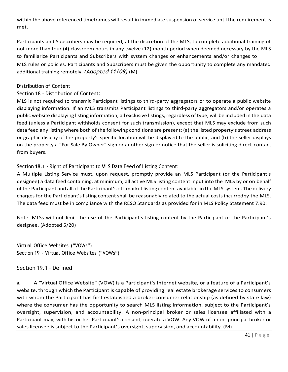within the above referenced timeframes will result in immediate suspension of service until the requirement is met.

Participants and Subscribers may be required, at the discretion of the MLS, to complete additional training of not more than four (4) classroom hours in any twelve (12) month period when deemed necessary by the MLS to familiarize Participants and Subscribers with system changes or enhancements and/or changes to MLS rules or policies. Participants and Subscribers must be given the opportunity to complete any mandated additional training remotely. *(Adopted 11/09)* (M)

# <span id="page-40-0"></span>Distribution of Content

# Section 18 – Distribution of Content:

MLS is not required to transmit Participant listings to third-party aggregators or to operate a public website displaying information. If an MLS transmits Participant listings to third-party aggregators and/or operates a public website displaying listing information, all exclusive listings, regardless of type, will be included in the data feed (unless a Participant withholds consent for such transmission), except that MLS may exclude from such data feed any listing where both of the following conditions are present: (a) the listed property's street address or graphic display of the property's specific location will be displayed to the public; and (b) the seller displays on the property a "For Sale By Owner" sign or another sign or notice that the seller is soliciting direct contact from buyers.

# <span id="page-40-1"></span>Section 18.1 - Right of Participant to MLS Data Feed of Listing Content:

A Multiple Listing Service must, upon request, promptly provide an MLS Participant (or the Participant's designee) a data feed containing, at minimum, all active MLS listing content input into the MLS by or on behalf of the Participant and all of the Participant's off-market listing content available in the MLS system. The delivery charges for the Participant's listing content shall be reasonably related to the actual costs incurredby the MLS. The data feed must be in compliance with the RESO Standards as provided for in MLS Policy Statement 7.90.

Note: MLSs will not limit the use of the Participant's listing content by the Participant or the Participant's designee. (Adopted 5/20)

<span id="page-40-2"></span>Virtual Office Websites ("VOWs") Section 19 - Virtual Office Websites ("VOWs")

# Section 19.1 – Defined

a. A "Virtual Office Website" (VOW) is a Participant's Internet website, or a feature of a Participant's website, through which the Participant is capable of providing real estate brokerage services to consumers with whom the Participant has first established a broker-consumer relationship (as defined by state law) where the consumer has the opportunity to search MLS listing information, subject to the Participant's oversight, supervision, and accountability. A non-principal broker or sales licensee affiliated with a Participant may, with his or her Participant's consent, operate a VOW. Any VOW of a non-principal broker or sales licensee is subject to the Participant's oversight, supervision, and accountability. (M)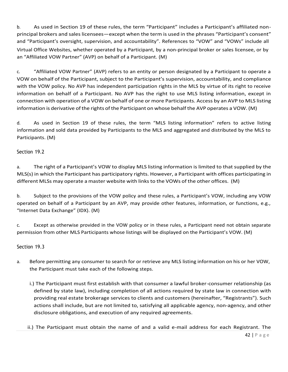b. As used in Section 19 of these rules, the term "Participant" includes a Participant's affiliated nonprincipal brokers and sales licensees—except when the term is used in the phrases "Participant's consent" and "Participant's oversight, supervision, and accountability". References to "VOW" and "VOWs" include all Virtual Office Websites, whether operated by a Participant, by a non-principal broker or sales licensee, or by an "Affiliated VOW Partner" (AVP) on behalf of a Participant. (M)

c. "Affiliated VOW Partner" (AVP) refers to an entity or person designated by a Participant to operate a VOW on behalf of the Participant, subject to the Participant's supervision, accountability, and compliance with the VOW policy. No AVP has independent participation rights in the MLS by virtue of its right to receive information on behalf of a Participant. No AVP has the right to use MLS listing information, except in connection with operation of a VOW on behalf of one or more Participants. Access by an AVP to MLS listing information is derivative of the rights of the Participant on whose behalf the AVP operates a VOW. (M)

d. As used in Section 19 of these rules, the term "MLS listing information" refers to active listing information and sold data provided by Participants to the MLS and aggregated and distributed by the MLS to Participants. (M)

# Section 19.2

a. The right of a Participant's VOW to display MLS listing information is limited to that supplied by the MLS(s) in which the Participant has participatory rights. However, a Participant with offices participating in different MLSs may operate a master website with linksto the VOWs of the other offices. (M)

b. Subject to the provisions of the VOW policy and these rules, a Participant's VOW, including any VOW operated on behalf of a Participant by an AVP, may provide other features, information, or functions, e.g., "Internet Data Exchange" (IDX). (M)

c. Except as otherwise provided in the VOW policy or in these rules, a Participant need not obtain separate permission from other MLS Participants whose listings will be displayed on the Participant's VOW. (M)

# Section 19.3

- a. Before permitting any consumer to search for or retrieve any MLS listing information on his or her VOW, the Participant must take each of the following steps.
	- i.) The Participant must first establish with that consumer a lawful broker-consumer relationship (as defined by state law), including completion of all actions required by state law in connection with providing real estate brokerage services to clients and customers (hereinafter, "Registrants"). Such actions shall include, but are not limited to, satisfying all applicable agency, non-agency, and other disclosure obligations, and execution of any required agreements.
	- ii.) The Participant must obtain the name of and a valid e-mail address for each Registrant. The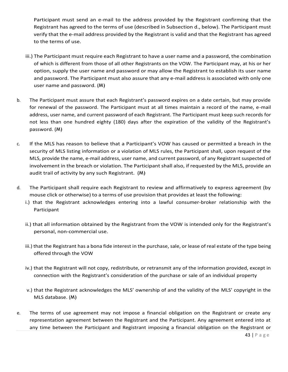Participant must send an e-mail to the address provided by the Registrant confirming that the Registrant has agreed to the terms of use (described in Subsection d., below). The Participant must verify that the e-mail address provided by the Registrant is valid and that the Registrant has agreed to the terms of use.

- iii.) The Participant must require each Registrant to have a user name and a password, the combination of which is different from those of all other Registrants on the VOW. The Participant may, at his or her option, supply the user name and password or may allow the Registrant to establish its user name and password. The Participant must also assure that any e-mail address is associated with only one user name and password. (M)
- b. The Participant must assure that each Registrant's password expires on a date certain, but may provide for renewal of the password. The Participant must at all times maintain a record of the name, e-mail address, user name, and current password of each Registrant. The Participant must keep such records for not less than one hundred eighty (180) days after the expiration of the validity of the Registrant's password. (M)
- c. If the MLS has reason to believe that a Participant's VOW has caused or permitted a breach in the security of MLS listing information or a violation of MLS rules, the Participant shall, upon request of the MLS, provide the name, e-mail address, user name, and current password, of any Registrant suspected of involvement in the breach or violation. The Participant shall also, if requested by the MLS, provide an audit trail of activity by any such Registrant. (M)
- d. The Participant shall require each Registrant to review and affirmatively to express agreement (by mouse click or otherwise) to a terms of use provision that provides at least the following:
	- i.) that the Registrant acknowledges entering into a lawful consumer-broker relationship with the Participant
	- ii.) that all information obtained by the Registrant from the VOW is intended only for the Registrant's personal, non-commercial use.
	- iii.) that the Registrant has a bona fide interest in the purchase, sale, or lease of real estate of the type being offered through the VOW
	- iv.) that the Registrant will not copy, redistribute, or retransmit any of the information provided, except in connection with the Registrant's consideration of the purchase or sale of an individual property
	- v.) that the Registrant acknowledges the MLS' ownership of and the validity of the MLS' copyright in the MLS database. (M)
- e. The terms of use agreement may not impose a financial obligation on the Registrant or create any representation agreement between the Registrant and the Participant. Any agreement entered into at any time between the Participant and Registrant imposing a financial obligation on the Registrant or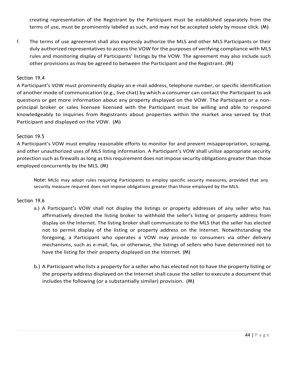creating representation of the Registrant by the Participant must be established separately from the terms of use, must be prominently labeled as such, and may not be accepted solely by mouse click. (M)

f. The terms of use agreement shall also expressly authorize the MLS and other MLS Participants or their duly authorized representatives to access the VOW for the purposes of verifying compliance with MLS rules and monitoring display of Participants' listings by the VOW. The agreement may also include such other provisions as may be agreed to between the Participant and the Registrant. (M)

### Section 19.4

A Participant's VOW must prominently display an e-mail address, telephone number, or specific identification of another mode of communication (e.g., live chat) by which a consumer can contact the Participant to ask questions or get more information about any property displayed on the VOW. The Participant or a nonprincipal broker or sales licensee licensed with the Participant must be willing and able to respond knowledgeably to inquiries from Registrants about properties within the market area served by that Participant and displayed on the VOW. (M)

### Section 19.5

A Participant's VOW must employ reasonable efforts to monitor for and prevent misappropriation, scraping, and other unauthorized uses of MLS listing information. A Participant's VOW shall utilize appropriate security protection such as firewalls as long as this requirement does not impose security obligations greater than those employed concurrently by the MLS. (M)

Note: MLSs may adopt rules requiring Participants to employ specific security measures, provided that any security measure required does not impose obligations greater than those employed by the MLS.

### Section 19.6

- a.) A Participant's VOW shall not display the listings or property addresses of any seller who has affirmatively directed the listing broker to withhold the seller's listing or property address from display on the Internet. The listing broker shall communicate to the MLS that the seller has elected not to permit display of the listing or property address on the Internet. Notwithstanding the foregoing, a Participant who operates a VOW may provide to consumers via other delivery mechanisms, such as e-mail, fax, or otherwise, the listings of sellers who have determined not to have the listing for their property displayed on the Internet. (M)
- b.) A Participant who lists a property for a seller who has elected not to have the property listing or the property address displayed on the Internet shall cause the seller to execute a document that includes the following (or a substantially similar) provision. (M)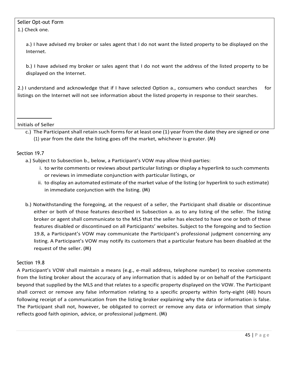# Seller Opt-out Form

1.) Check one.

a.) I have advised my broker or sales agent that I do not want the listed property to be displayed on the Internet.

b.) I have advised my broker or sales agent that I do not want the address of the listed property to be displayed on the Internet.

2.) I understand and acknowledge that if I have selected Option a., consumers who conduct searches for listings on the Internet will not see information about the listed property in response to their searches.

Initials of Seller

c.) The Participant shall retain such forms for at least one (1) year from the date they are signed or one (1) year from the date the listing goes off the market, whichever is greater.  $(M)$ 

# Section 19.7

- a.) Subject to Subsection b., below, a Participant's VOW may allow third-parties:
	- i. to write comments or reviews about particular listings or display a hyperlink to such comments or reviews in immediate conjunction with particular listings, or
	- ii. to display an automated estimate of the market value of the listing (or hyperlink to such estimate) in immediate conjunction with the listing. (M)
- b.) Notwithstanding the foregoing, at the request of a seller, the Participant shall disable or discontinue either or both of those features described in Subsection a. as to any listing of the seller. The listing broker or agent shall communicate to the MLS that the seller has elected to have one or both of these features disabled or discontinued on all Participants' websites. Subject to the foregoing and to Section 19.8, a Participant's VOW may communicate the Participant's professional judgment concerning any listing. A Participant's VOW may notify its customers that a particular feature has been disabled at the request of the seller. (M)

### Section 19.8

A Participant's VOW shall maintain a means (e.g., e-mail address, telephone number) to receive comments from the listing broker about the accuracy of any information that is added by or on behalf of the Participant beyond that supplied by the MLS and that relates to a specific property displayed on the VOW. The Participant shall correct or remove any false information relating to a specific property within forty-eight (48) hours following receipt of a communication from the listing broker explaining why the data or information is false. The Participant shall not, however, be obligated to correct or remove any data or information that simply reflects good faith opinion, advice, or professional judgment. (M)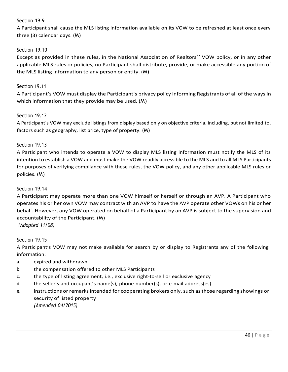### Section 19.9

A Participant shall cause the MLS listing information available on its VOW to be refreshed at least once every three (3) calendar days. (M)

### Section 19.10

Except as provided in these rules, in the National Association of Realtors<sup>®</sup>' VOW policy, or in any other applicable MLS rules or policies, no Participant shall distribute, provide, or make accessible any portion of the MLS listing information to any person or entity. (M)

### Section 19.11

A Participant's VOW must display the Participant's privacy policy informing Registrants of all of the ways in which information that they provide may be used. (M)

### Section 19.12

A Participant's VOW may exclude listings from display based only on objective criteria, including, but not limited to, factors such as geography, list price, type of property. (M)

#### Section 19.13

A Participant who intends to operate a VOW to display MLS listing information must notify the MLS of its intention to establish a VOW and must make the VOW readily accessible to the MLS and to all MLS Participants for purposes of verifying compliance with these rules, the VOW policy, and any other applicable MLS rules or policies. (M)

#### Section 19.14

A Participant may operate more than one VOW himself or herself or through an AVP. A Participant who operates his or her own VOW may contract with an AVP to have the AVP operate other VOWs on his or her behalf. However, any VOW operated on behalf of a Participant by an AVP is subject to the supervision and accountability of the Participant. (M) *(Adopted 11/08)*

#### Section 19.15

A Participant's VOW may not make available for search by or display to Registrants any of the following information:

- a. expired and withdrawn
- b. the compensation offered to other MLS Participants
- c. the type of listing agreement, i.e., exclusive right-to-sell or exclusive agency
- d. the seller's and occupant's name(s), phone number(s), or e-mail address(es)
- e. instructions or remarksintended for cooperating brokers only,such asthose regarding showings or security of listed property *(Amended 04/2015)*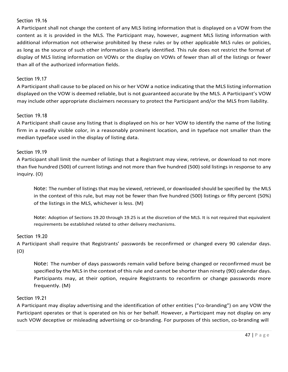### Section 19.16

A Participant shall not change the content of any MLS listing information that is displayed on a VOW from the content as it is provided in the MLS. The Participant may, however, augment MLS listing information with additional information not otherwise prohibited by these rules or by other applicable MLS rules or policies, as long as the source of such other information is clearly identified. This rule does not restrict the format of display of MLS listing information on VOWs or the display on VOWs of fewer than all of the listings or fewer than all of the authorized information fields.

### Section 19.17

A Participant shall cause to be placed on his or her VOW a notice indicating that the MLS listing information displayed on the VOW is deemed reliable, but is not guaranteed accurate by the MLS. A Participant's VOW may include other appropriate disclaimers necessary to protect the Participant and/or the MLS from liability.

### Section 19.18

A Participant shall cause any listing that is displayed on his or her VOW to identify the name of the listing firm in a readily visible color, in a reasonably prominent location, and in typeface not smaller than the median typeface used in the display of listing data.

#### Section 19.19

A Participant shall limit the number of listings that a Registrant may view, retrieve, or download to not more than five hundred (500) of current listings and not more than five hundred (500) sold listings in response to any inquiry. (O)

Note: The number of listings that may be viewed, retrieved, or downloaded should be specified by the MLS in the context of this rule, but may not be fewer than five hundred (500) listings or fifty percent (50%) of the listings in the MLS, whichever is less. (M)

Note: Adoption of Sections 19.20 through 19.25 is at the discretion of the MLS. It is not required that equivalent requirements be established related to other delivery mechanisms.

#### Section 19.20

A Participant shall require that Registrants' passwords be reconfirmed or changed every 90 calendar days. (O)

Note: The number of days passwords remain valid before being changed or reconfirmed must be specified by the MLS in the context of this rule and cannot be shorter than ninety (90) calendar days. Participants may, at their option, require Registrants to reconfirm or change passwords more frequently. (M)

#### Section 19.21

A Participant may display advertising and the identification of other entities ("co-branding") on any VOW the Participant operates or that is operated on his or her behalf. However, a Participant may not display on any such VOW deceptive or misleading advertising or co-branding. For purposes of this section, co-branding will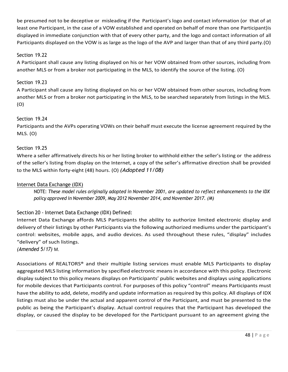be presumed not to be deceptive or misleading if the Participant's logo and contact information (or that of at least one Participant, in the case of a VOW established and operated on behalf of more than one Participant)is displayed in immediate conjunction with that of every other party, and the logo and contact information of all Participants displayed on the VOW is as large as the logo of the AVP and larger than that of any third party.(O)

# Section 19.22

A Participant shall cause any listing displayed on his or her VOW obtained from other sources, including from another MLS or from a broker not participating in the MLS, to identify the source of the listing. (O)

### Section 19.23

A Participant shall cause any listing displayed on his or her VOW obtained from other sources, including from another MLS or from a broker not participating in the MLS, to be searched separately from listings in the MLS. (O)

### Section 19.24

Participants and the AVPs operating VOWs on their behalf must execute the license agreement required by the MLS. (O)

### Section 19.25

Where a seller affirmatively directs his or her listing broker to withhold either the seller's listing or the address of the seller's listing from display on the Internet, a copy of the seller's affirmative direction shall be provided to the MLS within forty-eight (48) hours. (O) *(Adopted 11/08)*

### <span id="page-47-0"></span>Internet Data Exchange (IDX)

NOTE: *These model rules originally adopted in November 2001, are updated to reflect enhancements to the IDX policy approved in November 2009, May 2012 November 2014, and November 2017. (M)*

# <span id="page-47-1"></span>Section 20 - Internet Data Exchange (IDX) Defined:

Internet Data Exchange affords MLS Participants the ability to authorize limited electronic display and delivery of their listings by other Participants via the following authorized mediums under the participant's control: websites, mobile apps, and audio devices. As used throughout these rules, "display" includes "delivery" of such listings.

*(Amended 5/17)* M.

Associations of REALTORS® and their multiple listing services must enable MLS Participants to display aggregated MLS listing information by specified electronic means in accordance with this policy. Electronic display subject to this policy means displays on Participants' public websites and displays using applications for mobile devices that Participants control. For purposes of this policy "control" means Participants must have the ability to add, delete, modify and update information as required by this policy. All displays of IDX listings must also be under the actual and apparent control of the Participant, and must be presented to the public as being the Participant's display. Actual control requires that the Participant has developed the display, or caused the display to be developed for the Participant pursuant to an agreement giving the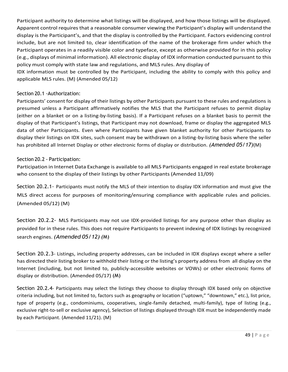Participant authority to determine what listings will be displayed, and how those listings will be displayed. Apparent control requires that a reasonable consumer viewing the Participant's display will understand the display is the Participant's, and that the display is controlled by the Participant. Factors evidencing control include, but are not limited to, clear identification of the name of the brokerage firm under which the Participant operates in a readily visible color and typeface, except as otherwise provided for in this policy (e.g., displays of minimal information). All electronic display of IDX information conducted pursuant to this policy must comply with state law and regulations, and MLS rules. Any display of

IDX information must be controlled by the Participant, including the ability to comply with this policy and applicable MLS rules. (M) (Amended 05/12)

### <span id="page-48-0"></span>Section 20.1 -Authorization:

Participants' consent for display of their listings by other Participants pursuant to these rules and regulations is presumed unless a Participant affirmatively notifies the MLS that the Participant refuses to permit display (either on a blanket or on a listing-by-listing basis). If a Participant refuses on a blanket basis to permit the display of that Participant's listings, that Participant may not download, frame or display the aggregated MLS data of other Participants. Even where Participants have given blanket authority for other Participants to display their listings on IDX sites, such consent may be withdrawn on a listing-by-listing basis where the seller has prohibited all Internet Display or other electronic forms of display or distribution. *(Amended 05/17)*(M)

### <span id="page-48-1"></span>Section 20.2 - Participation:

Participation in Internet Data Exchange is available to all MLS Participants engaged in real estate brokerage who consent to the display of their listings by other Participants (Amended 11/09)

Section 20.2.1- Participants must notify the MLS of their intention to display IDX information and must give the MLS direct access for purposes of monitoring/ensuring compliance with applicable rules and policies. (Amended 05/12) (M)

Section 20.2.2- MLS Participants may not use IDX-provided listings for any purpose other than display as provided for in these rules. This does not require Participants to prevent indexing of IDX listings by recognized search engines. *(Amended 05/12) (*M)

Section 20.2.3- Listings, including property addresses, can be included in IDX displays except where a seller has directed their listing broker to withhold their listing or the listing's property address from all display on the Internet (including, but not limited to, publicly-accessible websites or VOWs) or other electronic forms of display or distribution. (Amended 05/17) (M)

Section 20.2.4- Participants may select the listings they choose to display through IDX based only on objective criteria including, but not limited to, factors such as geography or location ("uptown," "downtown," etc.), list price, type of property (e.g., condominiums, cooperatives, single-family detached, multi-family), type of listing (e.g., exclusive right-to-sell or exclusive agency), Selection of listings displayed through IDX must be independently made by each Participant. (Amended 11/21). (M)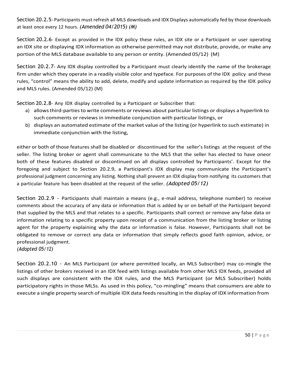Section 20.2.5- Participants must refresh all MLS downloads and IDX Displays automatically fed by those downloads at least once every 12 hours. *(Amended 04/2015) (M)*

Section 20.2.6- Except as provided in the IDX policy these rules, an IDX site or a Participant or user operating an IDX site or displaying IDX information as otherwise permitted may not distribute, provide, or make any portion of the MLS database available to any person or entity. (Amended 05/12) (M)

Section 20.2.7- Any IDX display controlled by a Participant must clearly identify the name of the brokerage firm under which they operate in a readily visible color and typeface. For purposes of the IDX policy and these rules, "control" means the ability to add, delete, modify and update information as required by the IDX policy and MLS rules. (Amended 05/12) (M)

Section 20.2.8- Any IDX display controlled by a Participant or Subscriber that:

- a) allows third-parties to write comments or reviews about particular listings or displays a hyperlink to such comments or reviews in immediate conjunction with particular listings, or
- b) displays an automated estimate of the market value of the listing (or hyperlink to such estimate) in immediate conjunction with the listing,

either or both of those features shall be disabled or discontinued for the seller's listings at the request of the seller. The listing broker or agent shall communicate to the MLS that the seller has elected to have oneor both of these features disabled or discontinued on all displays controlled by Participants'. Except for the foregoing and subject to Section 20.2.9, a Participant's IDX display may communicate the Participant's professional judgment concerning any listing. Nothing shall prevent an IDX display from notifying its customers that a particular feature has been disabled at the request of the seller. *(Adopted 05/12)*

Section 20.2.9 - Participants shall maintain a means (e.g., e-mail address, telephone number) to receive comments about the accuracy of any data or information that is added by or on behalf of the Participant beyond that supplied by the MLS and that relates to a specific. Participants shall correct or remove any false data or information relating to a specific property upon receipt of a communication from the listing broker or listing agent for the property explaining why the data or information is false. However, Participants shall not be obligated to remove or correct any data or information that simply reflects good faith opinion, advice, or professional judgment.

*(Adopted 05/12)*

Section 20.2.10 - An MLS Participant (or where permitted locally, an MLS Subscriber) may co-mingle the listings of other brokers received in an IDX feed with listings available from other MLS IDX feeds, provided all such displays are consistent with the IDX rules, and the MLS Participant (or MLS Subscriber) holds participatory rights in those MLSs. As used in this policy, "co-mingling" means that consumers are able to execute a single property search of multiple IDX data feeds resulting in the display of IDX information from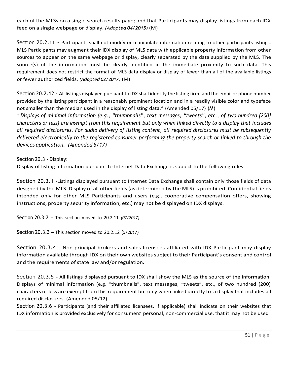each of the MLSs on a single search results page; and that Participants may display listings from each IDX feed on a single webpage or display. *(Adopted 04/2015)* (M)

Section 20.2.11 - Participants shall not modify or manipulate information relating to other participants listings. MLS Participants may augment their IDX display of MLS data with applicable property information from other sources to appear on the same webpage or display, clearly separated by the data supplied by the MLS. The source(s) of the information must be clearly identified in the immediate proximity to such data. This requirement does not restrict the format of MLS data display or display of fewer than all of the available listings or fewer authorized fields. *(Adopted 02/2017)* (M)

Section 20.2.12 - All listings displayed pursuant to IDX shall identify the listing firm, and the email or phone number provided by the listing participant in a reasonably prominent location and in a readily visible color and typeface not smaller than the median used in the display of listing data.\* (Amended 05/17) (M)

*\* Displays of minimal information (e.g., "thumbnails", text messages, "tweets", etc., of two hundred [200]* characters or less) are exempt from this requirement but only when linked directly to a display that includes *all required disclosures. For audio delivery of listing content, all required disclosures must be subsequently delivered electronically to the registered consumer performing the property search or linked to through the devices application. (Amended 5/17)*

<span id="page-50-0"></span>Section 20.3 - Display:

Display of listing information pursuant to Internet Data Exchange is subject to the following rules:

Section 20.3.1 -Listings displayed pursuant to Internet Data Exchange shall contain only those fields of data designed by the MLS. Display of all other fields (as determined by the MLS) is prohibited. Confidential fields intended only for other MLS Participants and users (e.g., cooperative compensation offers, showing instructions, property security information, etc.) may not be displayed on IDX displays.

Section 20.3.2 – This section moved to 20.2.11 *(02/2017)*

Section 20.3.3 – This section moved to 20.2.12 (*5/2017)*

Section 20.3.4 - Non-principal brokers and sales licensees affiliated with IDX Participant may display information available through IDX on their own websites subject to their Participant's consent and control and the requirements of state law and/or regulation.

Section 20.3.5 - All listings displayed pursuant to IDX shall show the MLS as the source of the information. Displays of minimal information (e.g. "thumbnails", text messages, "tweets", etc., of two hundred (200) characters or less are exempt from this requirement but only when linked directly to a display that includes all required disclosures. (Amended 05/12)

Section 20.3.6 - Participants (and their affiliated licensees, if applicable) shall indicate on their websites that IDX information is provided exclusively for consumers' personal, non-commercial use, that it may not be used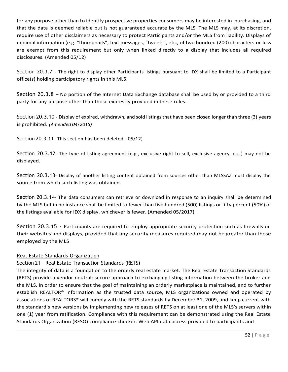for any purpose other than to identify prospective properties consumers may be interested in purchasing, and that the data is deemed reliable but is not guaranteed accurate by the MLS. The MLS may, at its discretion, require use of other disclaimers as necessary to protect Participants and/or the MLS from liability. Displays of minimal information (e.g. "thumbnails", text messages, "tweets", etc., of two hundred (200) characters or less are exempt from this requirement but only when linked directly to a display that includes all required disclosures. (Amended 05/12)

Section 20.3.7 - The right to display other Participants listings pursuant to IDX shall be limited to a Participant office(s) holding participatory rights in this MLS.

Section 20.3.8 – No portion of the Internet Data Exchange database shall be used by or provided to a third party for any purpose other than those expressly provided in these rules.

Section 20.3.10 - Display of expired, withdrawn, and sold listings that have been closed longer than three (3) years is prohibited. *(Amended 04/2015)*

Section 20.3.11- This section has been deleted. (05/12)

Section 20.3.12- The type of listing agreement (e.g., exclusive right to sell, exclusive agency, etc.) may not be displayed.

Section 20.3.13- Display of another listing content obtained from sources other than MLSSAZ must display the source from which such listing was obtained.

Section 20.3.14- The data consumers can retrieve or download in response to an inquiry shall be determined by the MLS but in no instance shall be limited to fewer than five hundred (500) listings or fifty percent (50%) of the listings available for IDX display, whichever is fewer. (Amended 05/2017)

Section 20.3.15 - Participants are required to employ appropriate security protection such as firewalls on their websites and displays, provided that any security measures required may not be greater than those employed by the MLS

# <span id="page-51-0"></span>Real Estate Standards Organization

# Section 21 - Real Estate Transaction Standards (RETS)

The integrity of data is a foundation to the orderly real estate market. The Real Estate Transaction Standards (RETS) provide a vendor neutral; secure approach to exchanging listing information between the broker and the MLS. In order to ensure that the goal of maintaining an orderly marketplace is maintained, and to further establish REALTOR® information as the trusted data source, MLS organizations owned and operated by associations of REALTORS® will comply with the RETS standards by December 31, 2009, and keep current with the standard's new versions by implementing new releases of RETS on at least one of the MLS's servers within one (1) year from ratification. Compliance with this requirement can be demonstrated using the Real Estate Standards Organization (RESO) compliance checker. Web API data access provided to participants and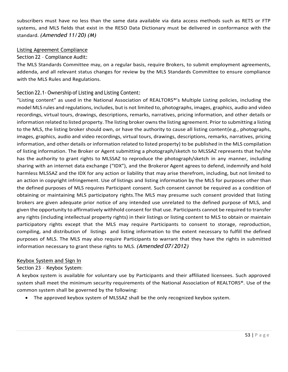subscribers must have no less than the same data available via data access methods such as RETS or FTP systems, and MLS fields that exist in the RESO Data Dictionary must be delivered in conformance with the standard. *(Amended 11/20) (M)*

### <span id="page-52-0"></span>Listing Agreement Compliance

### <span id="page-52-1"></span>Section 22 – Compliance Audit:

The MLS Standards Committee may, on a regular basis, require Brokers, to submit employment agreements, addenda, and all relevant status changes for review by the MLS Standards Committee to ensure compliance with the MLS Rules and Regulations.

### <span id="page-52-2"></span>Section 22.1- Ownership of Listing and Listing Content:

"Listing content" as used in the National Association of REALTORS®'s Multiple Listing policies, including the model MLS rules and regulations, includes, but is not limited to, photographs, images, graphics, audio and video recordings, virtual tours, drawings, descriptions, remarks, narratives, pricing information, and other details or information related to listed property. The listing broker owns the listing agreement. Prior to submitting a listing to the MLS, the listing broker should own, or have the authority to cause all listing content(e.g., photographs, images, graphics, audio and video recordings, virtual tours, drawings, descriptions, remarks, narratives, pricing information, and other details or information related to listed property) to be published in the MLS compilation of listing information. The Broker or Agent submitting a photograph/sketch to MLSSAZ represents that he/she has the authority to grant rights to MLSSAZ to reproduce the photograph/sketch in any manner, including sharing with an internet data exchange ("IDX"), and the Brokeror Agent agrees to defend, indemnify and hold harmless MLSSAZ and the IDX for any action or liability that may arise therefrom, including, but not limited to an action in copyright infringement. Use of listings and listing information by the MLS for purposes other than the defined purposes of MLS requires Participant consent. Such consent cannot be required as a condition of obtaining or maintaining MLS participatory rights.The MLS may presume such consent provided that listing brokers are given adequate prior notice of any intended use unrelated to the defined purpose of MLS, and given the opportunity to affirmatively withhold consent for that use. Participants cannot be required to transfer any rights (including intellectual property rights) in their listings or listing content to MLS to obtain or maintain participatory rights except that the MLS may require Participants to consent to storage, reproduction, compiling, and distribution of listings and listing information to the extent necessary to fulfill the defined purposes of MLS. The MLS may also require Participants to warrant that they have the rights in submitted information necessary to grant these rights to MLS. *(Amended 07/2012)*

### <span id="page-52-3"></span>Keybox System and Sign In

# Section 23 – Keybox System:

A keybox system is available for voluntary use by Participants and their affiliated licensees. Such approved system shall meet the minimum security requirements of the National Association of REALTORS®. Use of the common system shall be governed by the following:

• The approved keybox system of MLSSAZ shall be the only recognized keybox system.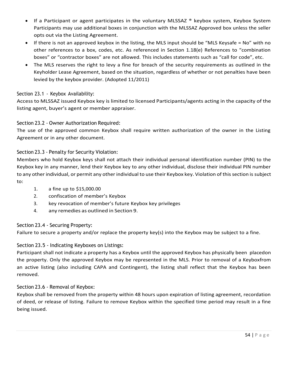- <span id="page-53-6"></span>If a Participant or agent participates in the voluntary MLSSAZ ® keybox system, Keybox System Participants may use additional boxes in conjunction with the MLSSAZ Approved box unless the seller opts out via the Listing Agreement.
- If there is not an approved keybox in the listing, the MLS input should be "MLS Keysafe = No" with no other references to a box, codes, etc. As referenced in Section 1.18(e) References to "combination boxes" or "contractor boxes" are not allowed. This includes statements such as "call for code", etc.
- The MLS reserves the right to levy a fine for breach of the security requirements as outlined in the Keyholder Lease Agreement, based on the situation, regardless of whether or not penalties have been levied by the keybox provider. (Adopted 11/2011)

# <span id="page-53-0"></span>Section 23.1 - Keybox Availability:

Access to MLSSAZ issued Keybox key is limited to licensed Participants/agents acting in the capacity of the listing agent, buyer's agent or member appraiser.

# <span id="page-53-1"></span>Section 23.2 - Owner Authorization Required:

The use of the approved common Keybox shall require written authorization of the owner in the Listing Agreement or in any other document.

# <span id="page-53-2"></span>Section 23.3 - Penalty for Security Violation:

Members who hold Keybox keys shall not attach their individual personal identification number (PIN) to the Keybox key in any manner, lend their Keybox key to any other individual, disclose their individual PIN number to any other individual, or permit any other individual to use their Keybox key. Violation of this section is subject to:

- 1. a fine up to \$15,000.00
- 2. confiscation of member's Keybox
- 3. key revocation of member's future Keybox key privileges
- 4. any remedies as outlined in Section 9.

# <span id="page-53-3"></span>Section 23.4 - Securing Property:

Failure to secure a property and/or replace the property key(s) into the Keybox may be subject to a fine.

# <span id="page-53-4"></span>Section 23.5 - Indicating Keyboxes on Listings:

Participant shall not indicate a property has a Keybox until the approved Keybox has physically been placedon the property. Only the approved Keybox may be represented in the MLS. Prior to removal of a Keyboxfrom an active listing (also including CAPA and Contingent), the listing shall reflect that the Keybox has been removed.

# <span id="page-53-5"></span>Section 23.6 - Removal of Keybox:

Keybox shall be removed from the property within 48 hours upon expiration of listing agreement, recordation of deed, or release of listing. Failure to remove Keybox within the specified time period may result in a fine being issued.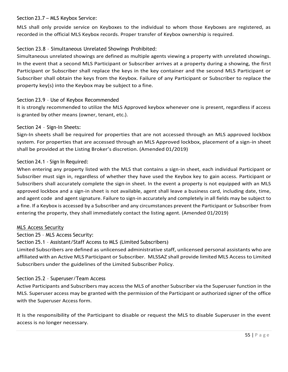### Section 23.7 – MLS Keybox Service:

MLS shall only provide service on Keyboxes to the individual to whom those Keyboxes are registered, as recorded in the official MLS Keybox records. Proper transfer of Keybox ownership is required.

# <span id="page-54-0"></span>Section 23.8 – Simultaneous Unrelated Showings Prohibited:

Simultaneous unrelated showings are defined as multiple agents viewing a property with unrelated showings. In the event that a second MLS Participant or Subscriber arrives at a property during a showing, the first Participant or Subscriber shall replace the keys in the key container and the second MLS Participant or Subscriber shall obtain the keys from the Keybox. Failure of any Participant or Subscriber to replace the property key(s) into the Keybox may be subject to a fine.

### <span id="page-54-1"></span>Section 23.9 – Use of Keybox Recommended

It is strongly recommended to utilize the MLS Approved keybox whenever one is present, regardless if access is granted by other means (owner, tenant, etc.).

### <span id="page-54-2"></span>Section 24 – Sign-In Sheets:

Sign-In sheets shall be required for properties that are not accessed through an MLS approved lockbox system. For properties that are accessed through an MLS Approved lockbox, placement of a sign-in sheet shall be provided at the Listing Broker's discretion. (Amended 01/2019)

### <span id="page-54-3"></span>Section 24.1 - Sign In Required:

When entering any property listed with the MLS that contains a sign-in sheet, each individual Participant or Subscriber must sign in, regardless of whether they have used the Keybox key to gain access. Participant or Subscribers shall accurately complete the sign-in sheet. In the event a property is not equipped with an MLS approved lockbox and a sign-in sheet is not available, agent shall leave a business card, including date, time, and agent code and agent signature. Failure to sign-in accurately and completely in all fields may be subject to a fine. If a Keybox is accessed by a Subscriber and any circumstances prevent the Participant or Subscriber from entering the property, they shall immediately contact the listing agent. (Amended 01/2019)

### <span id="page-54-4"></span>MLS Access Security

<span id="page-54-5"></span>Section 25 – MLS Access Security:

Section 25.1 – Assistant/Staff Access to MLS (Limited Subscribers)

Limited Subscribers are defined as unlicensed administrative staff, unlicensed personal assistants who are affiliated with an Active MLS Participant or Subscriber. MLSSAZ shall provide limited MLS Access to Limited Subscribers under the guidelines of the Limited Subscriber Policy.

### <span id="page-54-6"></span>Section 25.2 – Superuser/Team Access

Active Participants and Subscribers may access the MLS of another Subscriber via the Superuser function in the MLS. Superuser access may be granted with the permission of the Participant or authorized signer of the office with the Superuser Access form.

It is the responsibility of the Participant to disable or request the MLS to disable Superuser in the event access is no longer necessary.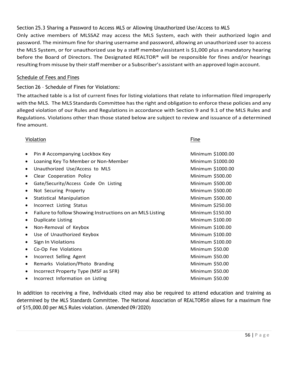<span id="page-55-0"></span>Section 25.3 Sharing a Password to Access MLS or Allowing Unauthorized Use/Access to MLS Only active members of MLSSAZ may access the MLS System, each with their authorized login and password. The minimum fine for sharing username and password, allowing an unauthorized user to access the MLS System, or for unauthorized use by a staff member/assistant is \$1,000 plus a mandatory hearing before the Board of Directors. The Designated REALTOR® will be responsible for fines and/or hearings resulting from misuse by their staff member or a Subscriber's assistant with an approved login account.

### <span id="page-55-2"></span><span id="page-55-1"></span>Schedule of Fees and Fines

# Section 26 – Schedule of Fines for Violations:

The attached table is a list of current fines for listing violations that relate to information filed improperly with the MLS. The MLS Standards Committee has the right and obligation to enforce these policies and any alleged violation of our Rules and Regulations in accordance with Section 9 and 9.1 of the MLS Rules and Regulations. Violations other than those stated below are subject to review and issuance of a determined fine amount.

### **Violation Fine**

| $\bullet$ | Pin # Accompanying Lockbox Key                           | Minimum \$1000.00 |
|-----------|----------------------------------------------------------|-------------------|
| $\bullet$ | Loaning Key To Member or Non-Member                      | Minimum \$1000.00 |
| $\bullet$ | Unauthorized Use/Access to MLS                           | Minimum \$1000.00 |
| $\bullet$ | Clear Cooperation Policy                                 | Minimum \$500.00  |
| $\bullet$ | Gate/Security/Access Code On Listing                     | Minimum \$500.00  |
| $\bullet$ | Not Securing Property                                    | Minimum \$500.00  |
| $\bullet$ | <b>Statistical Manipulation</b>                          | Minimum \$500.00  |
| $\bullet$ | Incorrect Listing Status                                 | Minimum \$250.00  |
| $\bullet$ | Failure to follow Showing Instructions on an MLS Listing | Minimum \$150.00  |
| $\bullet$ | <b>Duplicate Listing</b>                                 | Minimum \$100.00  |
| $\bullet$ | Non-Removal of Keybox                                    | Minimum \$100.00  |
| $\bullet$ | Use of Unauthorized Keybox                               | Minimum \$100.00  |
| $\bullet$ | Sign In Violations                                       | Minimum \$100.00  |
| $\bullet$ | Co-Op Fee Violations                                     | Minimum \$50.00   |
| $\bullet$ | Incorrect Selling Agent                                  | Minimum \$50.00   |
| $\bullet$ | Remarks Violation/Photo Branding                         | Minimum \$50.00   |
| $\bullet$ | Incorrect Property Type (MSF as SFR)                     | Minimum \$50.00   |
| $\bullet$ | Incorrect Information on Listing                         | Minimum \$50.00   |
|           |                                                          |                   |

In addition to receiving a fine, Individuals cited may also be required to attend education and training as determined by the MLS Standards Committee. The National Association of REALTORS® allows for a maximum fine of \$15,000.00 per MLS Rules violation. (Amended 09/2020)